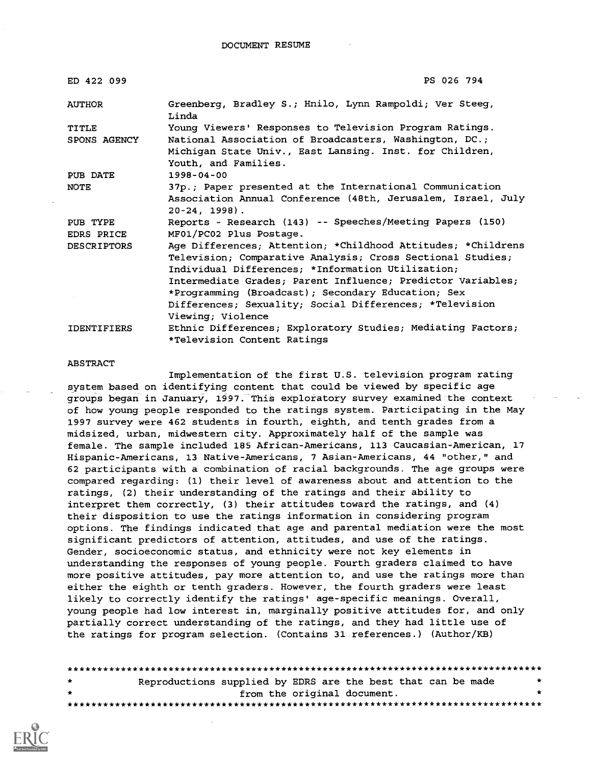| ED 422 099         | PS 026 794                                                                                                                                                                      |
|--------------------|---------------------------------------------------------------------------------------------------------------------------------------------------------------------------------|
| <b>AUTHOR</b>      | Greenberg, Bradley S.; Hnilo, Lynn Rampoldi; Ver Steeg,<br>Linda                                                                                                                |
| <b>TITLE</b>       | Young Viewers' Responses to Television Program Ratings.                                                                                                                         |
| SPONS AGENCY       | National Association of Broadcasters, Washington, DC.;                                                                                                                          |
|                    | Michigan State Univ., East Lansing. Inst. for Children,<br>Youth, and Families.                                                                                                 |
| PUB DATE           | $1998 - 04 - 00$                                                                                                                                                                |
| NOTE               | 37p.; Paper presented at the International Communication                                                                                                                        |
|                    | Association Annual Conference (48th, Jerusalem, Israel, July<br>$20-24, 1998$ .                                                                                                 |
| PUB TYPE           | Reports - Research (143) -- Speeches/Meeting Papers (150)                                                                                                                       |
| EDRS PRICE         | MF01/PC02 Plus Postage.                                                                                                                                                         |
| <b>DESCRIPTORS</b> | Age Differences; Attention; *Childhood Attitudes; *Childrens<br>Television; Comparative Analysis; Cross Sectional Studies;<br>Individual Differences; *Information Utilization; |
|                    | Intermediate Grades; Parent Influence; Predictor Variables;                                                                                                                     |
|                    | *Programming (Broadcast); Secondary Education; Sex                                                                                                                              |
|                    | Differences; Sexuality; Social Differences; *Television                                                                                                                         |
|                    | Viewing; Violence                                                                                                                                                               |
| <b>IDENTIFIERS</b> | Ethnic Differences; Exploratory Studies; Mediating Factors;                                                                                                                     |
|                    | *Television Content Ratings                                                                                                                                                     |

#### ABSTRACT

Implementation of the first U.S. television program rating system based on identifying content that could be viewed by specific age groups began in January, 1997. This exploratory survey examined the context of how young people responded to the ratings system. Participating in the May 1997 survey were 462 students in fourth, eighth, and tenth grades from a midsized, urban, midwestern city. Approximately half of the sample was female. The sample included 185 African-Americans, 113 Caucasian-American, 17 Hispanic-Americans, 13 Native-Americans, 7 Asian-Americans, 44 "other," and 62 participants with a combination of racial backgrounds. The age groups were compared regarding: (1) their level of awareness about and attention to the ratings, (2) their understanding of the ratings and their ability to interpret them correctly, (3) their attitudes toward the ratings, and (4) their disposition to use the ratings information in considering program options. The findings indicated that age and parental mediation were the most significant predictors of attention, attitudes, and use of the ratings. Gender, socioeconomic status, and ethnicity were not key elements in understanding the responses of young people. Fourth graders claimed to have more positive attitudes, pay more attention to, and use the ratings more than either the eighth or tenth graders. However, the fourth graders were least likely to correctly identify the ratings' age-specific meanings. Overall, young people had low interest in, marginally positive attitudes for, and only partially correct understanding of the ratings, and they had little use of the ratings for program selection. (Contains 31 references.) (Author/KB)

| $\mathbf{r}$ | Reproductions supplied by EDRS are the best that can be made | $\star$ |
|--------------|--------------------------------------------------------------|---------|
| $\mathbf{r}$ | from the original document.                                  |         |
|              |                                                              |         |

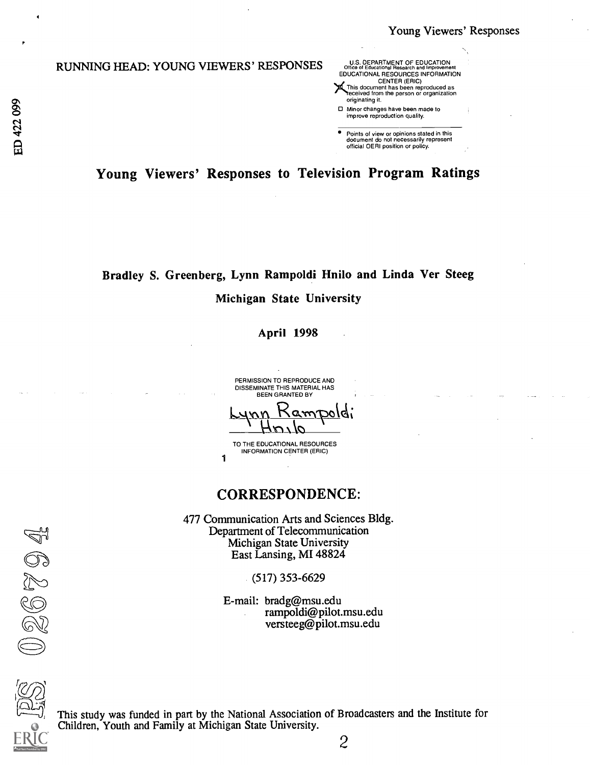### RUNNING HEAD: YOUNG VIEWERS' RESPONSES

|         | RUNNING HEAD: YOUNG VIEWERS' RESPONSES | U.S. DEPARTMENT OF EDUCATION<br>Office of Educational Research and Improvement<br>EDUCATIONAL RESOURCES INFORMATION<br><b>CENTER (ERIC)</b><br>This document has been reproduced as<br>received from the person or organization<br>originating it. |  |
|---------|----------------------------------------|----------------------------------------------------------------------------------------------------------------------------------------------------------------------------------------------------------------------------------------------------|--|
| 89<br>N |                                        | $\Box$ Minor changes have been made to<br>improve reproduction quality.                                                                                                                                                                            |  |
| 4,<br>A |                                        | Points of view or opinions stated in this<br>document do not necessarily represent<br>official OERI position or policy.                                                                                                                            |  |

Young Viewers' Responses to Television Program Ratings

## Bradley S. Greenberg, Lynn Rampoldi Hnilo and Linda Ver Steeg Michigan State University

April 1998

PERMISSION TO REPRODUCE AND DISSEMINATE THIS MATERIAL HAS BEEN GRANTED BY

TO THE EDUCATIONAL RESOURCES INFORMATION CENTER (ERIC)

1

### CORRESPONDENCE:

477 Communication Arts and Sciences Bldg. Department of Telecommunication Michigan State University East Lansing, MI 48824

(517) 353-6629

E-mail: bradg@msu.edu rampoldi@pilot.msu.edu versteeg@pilot.msu.edu



026704

This study was funded in part by the National Association of Broadcasters and the Institute for Children, Youth and Family at Michigan State University.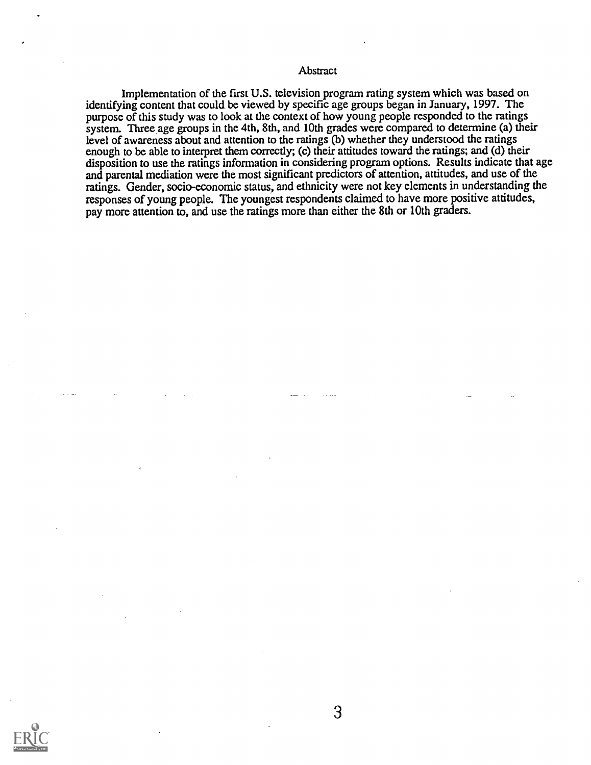#### **Abstract**

Implementation of the first U.S. television program rating system which was based on identifying content that could, be viewed by specific age groups began in January, 1997. The purpose of this study was to look at the context of how young people responded to the ratings system. Three age groups in the 4th, 8th, and 10th grades were compared to determine (a) their level of awareness about and attention to the ratings (b) whether they understood the ratings enough to be able to interpret them correctly; (c) their attitudes toward the ratings; and (d) their disposition to use the ratings information in considering program options. Results indicate that age and parental mediation were the most significant predictors of attention, attitudes, and use of the ratings. Gender, socio-economic status, and ethnicity were not key elements in understanding the responses of young people. The youngest respondents claimed to have more positive attitudes, pay more attention to, and use the ratings more than either the 8th or 10th graders.

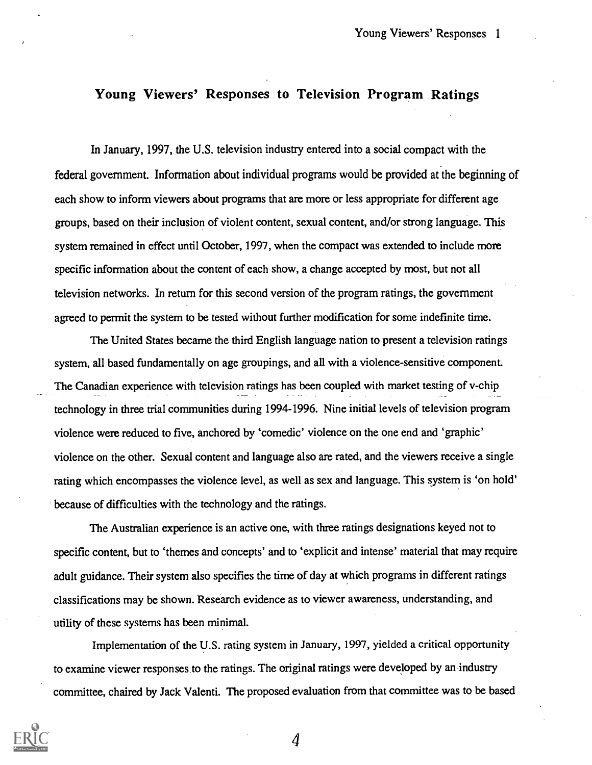### Young Viewers' Responses to Television Program Ratings

In January, 1997, the U.S. television industry entered into a social compact with the federal government. Information about individual programs would be provided at the beginning of each show to inform viewers about programs that are more or less appropriate for different age groups, based on their inclusion of violent content, sexual content, and/or strong language. This system remained in effect until October, 1997, when the compact was extended to include more specific information about the content of each show, a change accepted by most, but not all television networks. In return for this second version of the program ratings, the government agreed to permit the system to be tested without further modification for some indefinite time.

The United States became the third English language nation to present a television ratings system, all based fundamentally on age groupings, and all with a violence-sensitive component. The Canadian experience with television ratings has been coupled with market testing of v-chip technology in three trial communities during 1994-1996. Nine initial levels of television program violence were reduced to five, anchored by 'comedic' violence on the one end and 'graphic' violence on the other. Sexual content and language also are rated, and the viewers receive a single rating which encompasses the violence level, as well as sex and language. This system is 'on hold' because of difficulties with the technology and the ratings.

The Australian experience is an active one, with three ratings designations keyed not to specific content, but to 'themes and concepts' and to 'explicit and intense' material that may require adult guidance. Their system also specifies the time of day at which programs in different ratings classifications may be shown. Research evidence as to viewer awareness, understanding, and utility of these systems has been minimal.

Implementation of the U.S. rating system in January, 1997, yielded a critical opportunity to examine viewer responses to the ratings. The original ratings were developed by an industry committee, chaired by Jack Valenti. The proposed evaluation from that committee was to be based

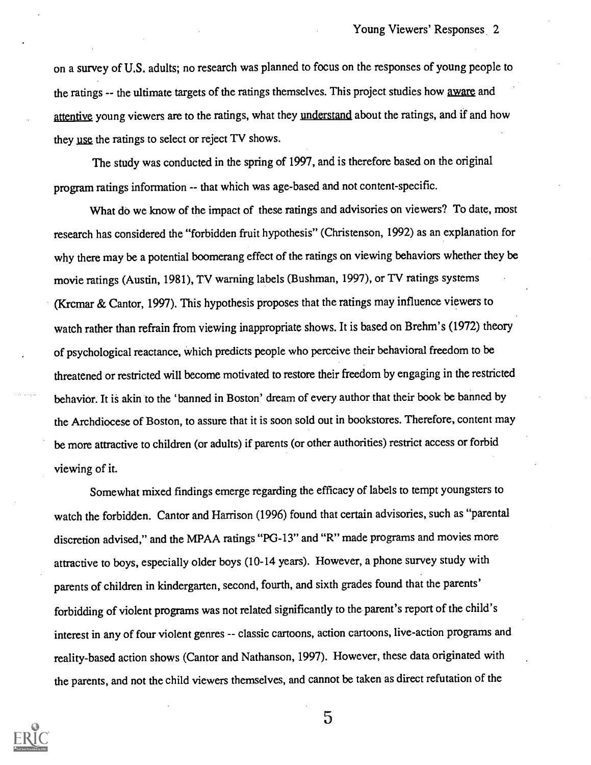on a survey of U.S. adults; no research was planned to focus on the responses of young people to the ratings -- the ultimate targets of the ratings themselves. This project studies how aware and attentive young viewers are to the ratings, what they understand about the ratings, and if and how they use the ratings to select or reject TV shows.

The study was conducted in the spring of 1997, and is therefore based on the original program ratings information -- that which was age-based and not content-specific.

What do we know of the impact of these ratings and advisories on viewers? To date, most research has considered the "forbidden fruit hypothesis" (Christenson, 1992) as an explanation for why there may be a potential boomerang effect of the ratings on viewing behaviors whether they be movie ratings (Austin, 1981), TV warning labels (Bushman, 1997), or TV ratings systems (Krcmar & Cantor, 1997). This hypothesis proposes that the ratings may influence viewers to watch rather than refrain from viewing inappropriate shows. It is based on Brehm's (1972) theory of psychological reactance, which predicts people who perceive their behavioral freedom to be threatened or restricted will become motivated to restore their freedom by engaging in the restricted behavior. It is akin to the 'banned in Boston' dream of every author that their book be banned by the Archdiocese of Boston, to assure that it is soon sold out in bookstores. Therefore, content may be more attractive to children (or adults) if parents (or other authorities) restrict access or forbid viewing of it.

Somewhat mixed findings emerge regarding the efficacy of labels to tempt youngsters to watch the forbidden. Cantor and Harrison (1996) found that certain advisories, such as "parental discretion advised," and the MPAA ratings "PG-13" and "R" made programs and movies more attractive to boys, especially older boys (10-14 years). However, a phone survey study with parents of children in kindergarten, second, fourth, and sixth grades found that the parents' forbidding of violent programs was not related significantly to the parent's report of the child's interest in any of four violent genres -- classic cartoons, action cartoons, live-action programs and reality-based action shows (Cantor and Nathanson, 1997). However, these data originated with the parents, and not the child viewers themselves, and cannot be taken as direct refutation of the



 $\overline{5}$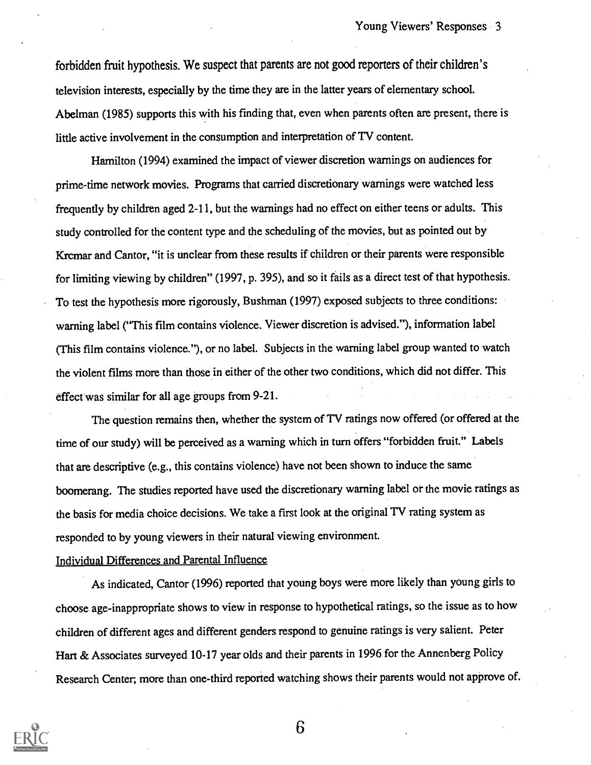forbidden fruit hypothesis. We suspect that parents are not good reporters of their children's television interests, especially by the time they are in the latter years of elementary school. Abelman (1985) supports this with his finding that, even when parents often are present, there is little active involvement in the consumption and interpretation of TV content.

Hamilton (1994) examined the impact of viewer discretion warnings on audiences for prime-time network movies. Programs that carried discretionary warnings were watched less frequently by children aged 2-11, but the warnings had no effect on either teens or adults. This study controlled for the content type and the scheduling of the movies, but as pointed out by Krcmar and Cantor, "it is unclear from these results if children or their parents were responsible for limiting viewing by children" (1997, p. 395), and so it fails as a direct test of that hypothesis. To test the hypothesis more rigorously, Bushman (1997) exposed subjects to three conditions: warning label ("This film contains violence. Viewer discretion is advised."), information label (This film contains violence."), or no label. Subjects in the warning label group wanted to watch the violent films more than those in either of the other two conditions, which did not differ. This effect was similar for all age groups from 9-21.

The question remains then, whether the system of TV ratings now offered (or offered at the time of our study) will be perceived as a warning which in turn offers "forbidden fruit." Labels that are descriptive (e.g., this contains violence) have not been shown to induce the same boomerang. The studies reported have used the discretionary warning label or the movie ratings as the basis for media choice decisions. We take a first look at the original TV rating system as responded to by young viewers in their natural viewing environment.

#### Individual Differences and Parental Influence

As indicated, Cantor (1996) reported that young boys were more likely than young girls to choose age-inappropriate shows to view in response to hypothetical ratings, so the issue as to how children of different ages and different genders respond to genuine ratings is very salient. Peter Hart & Associates surveyed 10-17 year olds and their parents in 1996 for the Annenberg Policy Research Center; more than one-third reported watching shows their parents would not approve of.

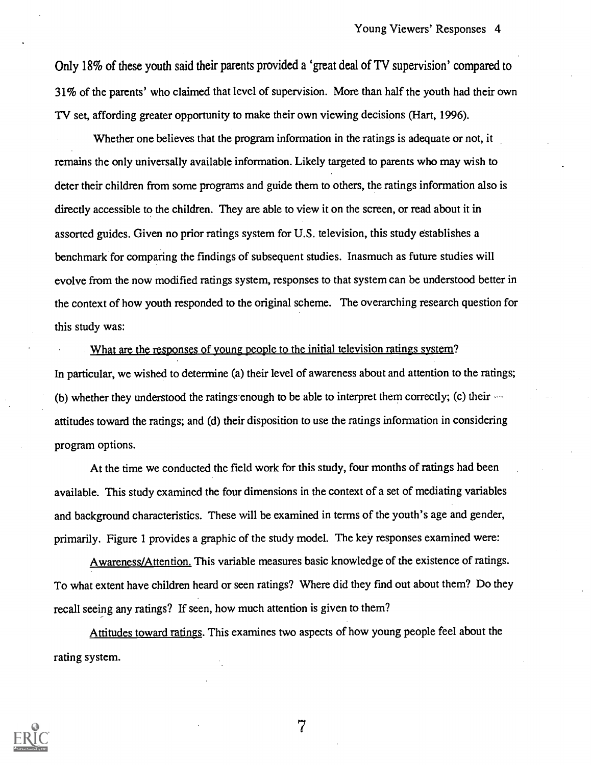Only 18% of these youth said their parents provided a 'great deal of TV supervision' compared to 31% of the parents' who claimed that level of supervision. More than half the youth had their own TV set, affording greater opportunity to make their own viewing decisions (Hart, 1996).

Whether one believes that the program information in the ratings is adequate or not, it remains the only universally available information. Likely targeted to parents who may wish to deter their children from some programs and guide them to others, the ratings information also is directly accessible to the children. They are able to view it on the screen, or read about it in assorted guides. Given no prior ratings system for U.S. television, this study establishes a benchmark for comparing the findings of subsequent studies. Inasmuch as future studies will evolve from the now modified ratings system, responses to that system can be understood better in the context of how youth responded to the original scheme. The overarching research question for this study was:

What are the responses of young people to the initial television ratings system? In particular, we wished to determine (a) their level of awareness about and attention to the ratings; (b) whether they understood the ratings enough to be able to interpret them correctly; (c) their attitudes toward the ratings; and (d) their disposition to use the ratings information in considering program options.

At the time we conducted the field work for this study, four months of ratings had been available. This study examined the four dimensions in the context of a set of mediating variables and background characteristics. These will be examined in terms of the youth's age and gender, primarily. Figure 1 provides a graphic of the study model. The key responses examined were:

Awareness/Attention. This variable measures basic knowledge of the existence of ratings. To what extent have children heard or seen ratings? Where did they find out about them? Do they recall seeing any ratings? If seen, how much attention is given to them?

Attitudes toward ratings. This examines two aspects of how young people feel about the rating system.

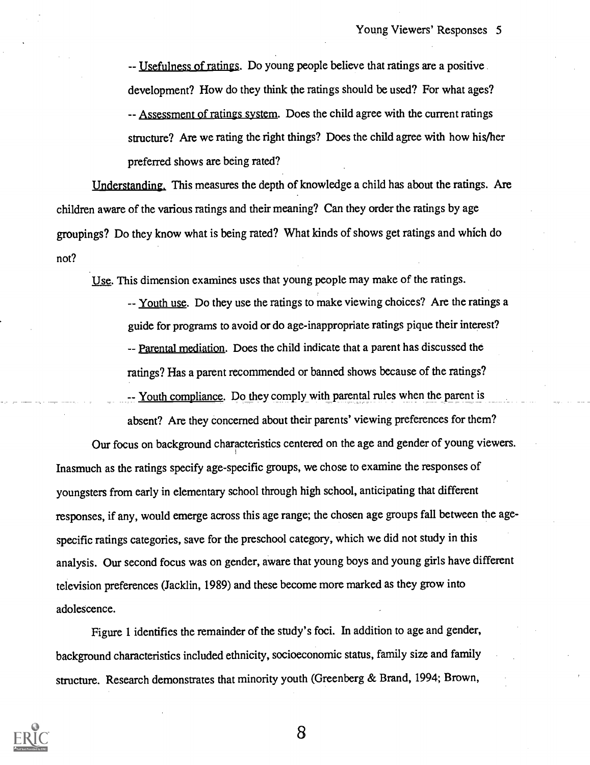-- Usefulness of ratings. Do young people believe that ratings are a positive. development? How do they think the ratings should be used? For what ages? -- Assessment of ratings system. Does the child agree with the current ratings structure? Are we rating the right things? Does the child agree with how his/her preferred shows are being rated?

Understanding. This measures the depth of knowledge a child has about the ratings. Are children aware of the various ratings and their meaning? Can they order the ratings by age groupings? Do they know what is being rated? What kinds of shows get ratings and which do not?

Use. This dimension examines uses that young people may make of the ratings.

-- Youth use. Do they use the ratings to make viewing choices? Are the ratings a guide for programs to avoid or do age-inappropriate ratings pique their interest? -- Parental mediation. Does the child indicate that a parent has discussed the ratings? Has a parent recommended or banned shows because of the ratings?

-- Youth compliance. Do they comply with parental rules when the parent is

absent? Are they concerned about their parents' viewing preferences for them? Our focus on background characteristics centered on the age and gender of young viewers. Inasmuch as the ratings specify age-specific groups, we chose to examine the responses of youngsters from early in elementary school through high school, anticipating that different responses, if any, would emerge across this age range; the chosen age groups fall between the agespecific ratings categories, save for the preschool category, which we did not study in this analysis. Our second focus was on gender, aware that young boys and young girls have different television preferences (Jack lin, 1989) and these become more marked as they grow into adolescence.

Figure 1 identifies the remainder of the study's foci. In addition to age and gender, background characteristics included ethnicity, socioeconomic status, family size and family structure. Research demonstrates that minority youth (Greenberg & Brand, 1994; Brown,

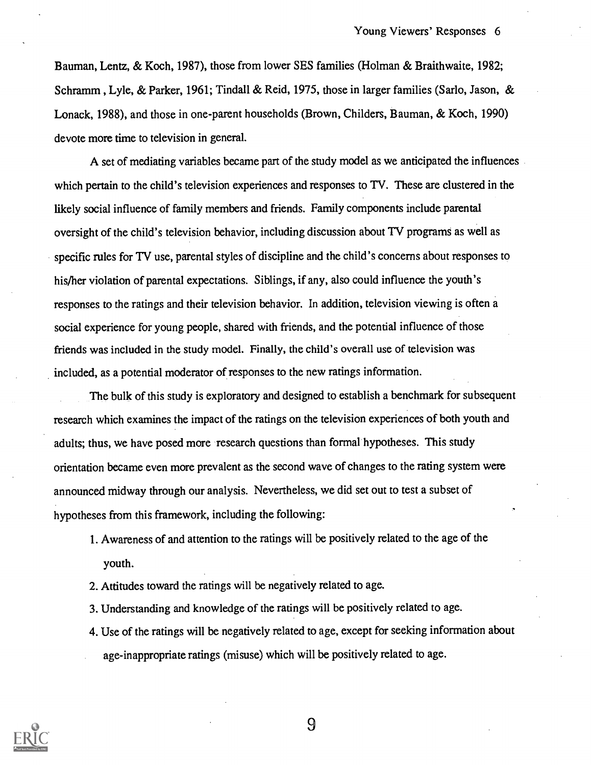Bauman, Lentz, & Koch, 1987), those from lower SES families (Holman & Braithwaite, 1982; Schramm , Lyle, & Parker, 1961; Tindall & Reid, 1975, those in larger families (Sarlo, Jason, & Lonack, 1988), and those in one-parent households (Brown, Childers, Bauman, & Koch, 1990) devote more time to television in general.

A set of mediating variables became part of the study model as we anticipated the influences which pertain to the child's television experiences and responses to TV. These are clustered in the likely social influence of family members and friends. Family components include parental oversight of the child's television behavior, including discussion about TV programs as well as specific rules for TV use, parental styles of discipline and the child's concerns about responses to his/her violation of parental expectations. Siblings, if any, also could influence the youth's responses to the ratings and their television behavior. In addition, television viewing is often a social experience for young people, shared with friends, and the potential influence of those friends was included in the study model. Finally, the child's overall use of television was included, as a potential moderator of responses to the new ratings information.

The bulk of this study is exploratory and designed to establish a benchmark for subsequent research which examines the impact of the ratings on the television experiences of both youth and adults; thus, we have posed more research questions than formal hypotheses. This study orientation became even more prevalent as the second wave of changes to the rating system were announced midway through our analysis. Nevertheless, we did set out to test a subset of hypotheses from this framework, including the following:

- 1. Awareness of and attention to the ratings will be positively related to the age of the youth.
- 2. Attitudes toward the ratings will be negatively related to age.
- 3. Understanding and knowledge of the ratings will be positively related to age.
- 4. Use of the ratings will be negatively related to age, except for seeking information about age-inappropriate ratings (misuse) which will be positively related to age.

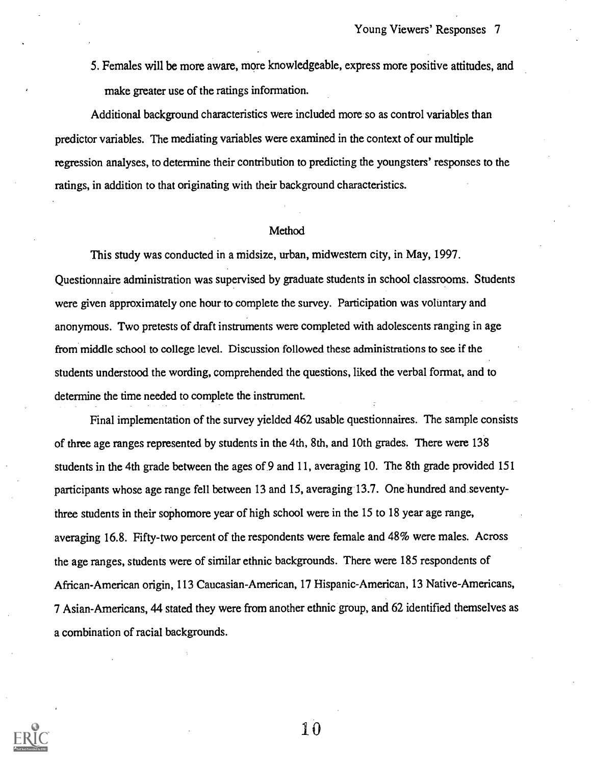5. Females will be more aware, more knowledgeable, express more positive attitudes, and make greater use of the ratings information.

Additional background characteristics were included more so as control variables than predictor variables. The mediating variables were examined in the context of our multiple regression analyses, to determine their contribution to predicting the youngsters' responses to the ratings, in addition to that originating with their background characteristics.

#### Method

This study was conducted in a midsize, urban, midwestern city, in May, 1997. Questionnaire administration was supervised by graduate students in school classrooms. Students were given approximately one hour to complete the survey. Participation was voluntary and anonymous. Two pretests of draft instruments were completed with adolescents ranging in age from middle school to college level. Discussion followed these administrations to see if the students understood the wording, comprehended the questions, liked the verbal format, and to determine the time needed to complete the instrument.

Final implementation of the survey yielded 462 usable questionnaires. The sample consists of three age ranges represented by students in the 4th, 8th, and 10th grades. There were 138 students in the 4th grade between the ages of 9 and 11, averaging 10. The 8th grade provided 151 participants whose age range fell between 13 and 15, averaging 13.7. One hundred and seventythree students in their sophomore year of high school were in the 15 to 18 year age range, averaging 16.8. Fifty-two percent of the respondents were female and 48% were males. Across the age ranges, students were of similar ethnic backgrounds. There were 185 respondents of African-American origin, 113 Caucasian-American, 17 Hispanic-American, 13 Native-Americans, 7 Asian-Americans, 44 stated they were from another ethnic group, and 62 identified themselves as a combination of racial backgrounds.

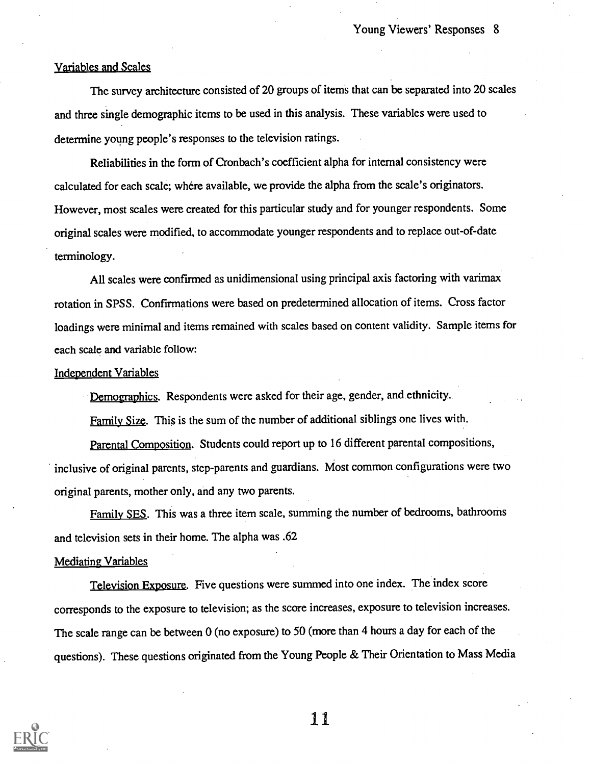#### Variables and Scales

The survey architecture consisted of 20 groups of items that can be separated into 20 scales and three single demographic items to be used in this analysis. These variables were used to determine young people's responses to the television ratings.

Reliabilities in the form of Cronbach's coefficient alpha for internal consistency were calculated for each scale; where available, we provide the alpha from the scale's originators. However, most scales were created for this particular study and for younger respondents. Some original scales were modified, to accommodate younger respondents and to replace out-of-date terminology.

All scales were confirmed as unidimensional using principal axis factoring with varimax rotation in SPSS. Confirmations were based on predetermined allocation of items. Cross factor loadings were minimal and items remained with scales based on content validity. Sample items for each scale and variable follow:

#### Independent Variables

Demographics. Respondents were asked for their age, gender, and ethnicity.

Family Size. This is the sum of the number of additional siblings one lives with.

Parental Composition. Students could report up to 16 different parental compositions, inclusive of original parents, step-parents and guardians. Most common configurations were two original parents, mother only, and any two parents.

Family SES. This was a three item scale, summing the number of bedrooms, bathrooms and television sets in their home. The alpha was .62

#### Mediating Variables

Television Exposure. Five questions were summed into one index. The index score corresponds to the exposure to television; as the score increases, exposure to television increases. The scale range can be between 0 (no exposure) to 50 (more than 4 hours a day for each of the questions). These questions originated from the Young People & Their Orientation to Mass Media

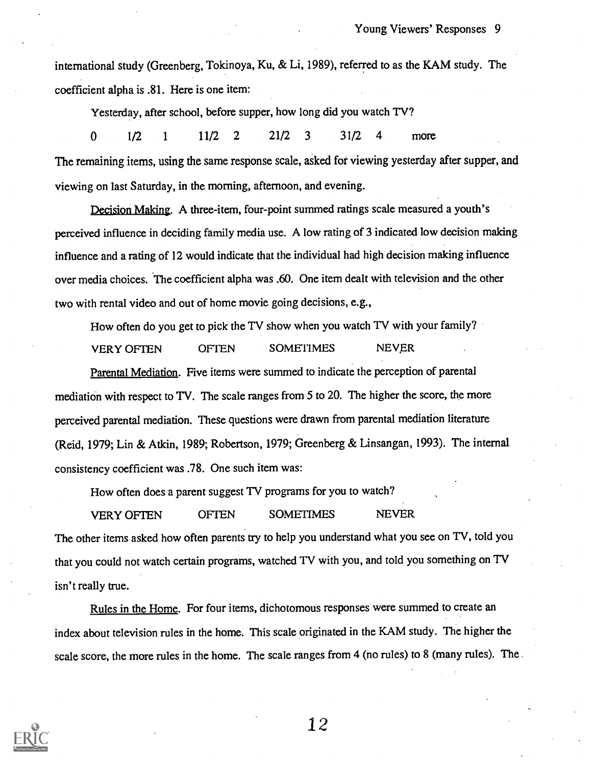international study (Greenberg, Tokinoya, Ku, & Li, 1989), referred to as the KAM study. The coefficient alpha is .81. Here is one item:

Yesterday, after school, before supper, how long did you watch TV?

0 1/2 <sup>1</sup> 11/2 2 21/2 3 31/2 4 more The remaining items, using the same response scale, asked for viewing yesterday after supper, and viewing on last Saturday, in the morning, afternoon, and evening.

Decision Making. A three-item, four-point summed ratings scale measured a youth's perceived influence in deciding family media use. A low rating of 3 indicated low decision making influence and a rating of 12 would indicate that the individual had high decision making influence over media choices. The coefficient alpha was .60. One item dealt with television and the other two with rental video and out of home movie going decisions, e.g.,

How often do you get to pick the TV show when you watch TV with your family?

VERY OFTEN OFTEN SOMEI1MES NEVER

Parental Mediation. Five items were summed to indicate the perception of parental mediation with respect to TV. The scale ranges from 5 to 20. The higher the score, the more perceived parental mediation. These questions were drawn from parental mediation literature (Reid, 1979; Lin & Atkin, 1989; Robertson, 1979; Greenberg & Linsangan, 1993). The internal consistency coefficient was .78. One such item was:

How often does a parent suggest TV programs for you to watch?

VERY OFTEN OFTEN SOMETIMES NEVER The other items asked how often parents try to help you understand what you see on TV, told you that you could not watch certain programs, watched TV with you, and told you something on TV isn't really true.

Rules in the Home. For four items, dichotomous responses were summed to create an index about television rules in the home. This scale originated in the KAM study. The higher the scale score, the more rules in the home. The scale ranges from 4 (no rules) to 8 (many rules). The

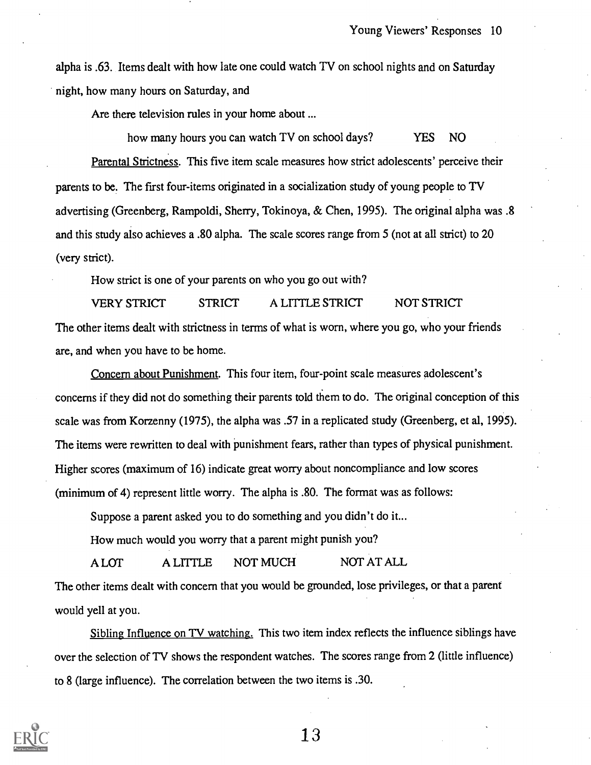alpha is .63. Items dealt with how late one could watch TV on school nights and on Saturday night, how many hours on Saturday, and

Are there television rules in your home about ...

how many hours you can watch TV on school days? YES NO Parental Strictness. This five item scale measures how strict adolescents' perceive their parents to be. The first four-items originated in a socialization study of young people to TV advertising (Greenberg, Rampoldi, Sherry, Tokinoya, & Chen, 1995). The original alpha was .8 and this study also achieves a .80 alpha. The scale scores range from 5 (not at all strict) to 20 (very strict).

How strict is one of your parents on who you go out with?

VERY STRICT STRICT A LITTLE STRICT NOT STRICT The other items dealt with strictness in terms of what is worn, where you go, who your friends are, and when you have to be home.

Concern about Punishment. This four item, four-point scale measures adolescent's concerns if they did not do something their parents told them to do. The original conception of this scale was from Korzenny (1975), the alpha was .57 in a replicated study (Greenberg, et al, 1995). The items were rewritten to deal with punishment fears, rather than types of physical punishment. Higher scores (maximum of 16) indicate great worry about noncompliance and low scores (minimum of 4) represent little worry. The alpha is .80. The format was as follows:

Suppose a parent asked you to do something and you didn't do it...

How much would you worry that a parent might punish you?

A LOT A LTITLE NOT MUCH NOT AT ALL

The other items dealt with concern that you would be grounded, lose privileges, or that a parent would yell at you.

Sibling Influence on TV watching. This two item index reflects the influence siblings have over the selection of TV shows the respondent watches. The scores range from 2 (little influence) to 8 (large influence). The correlation between the two items is .30.

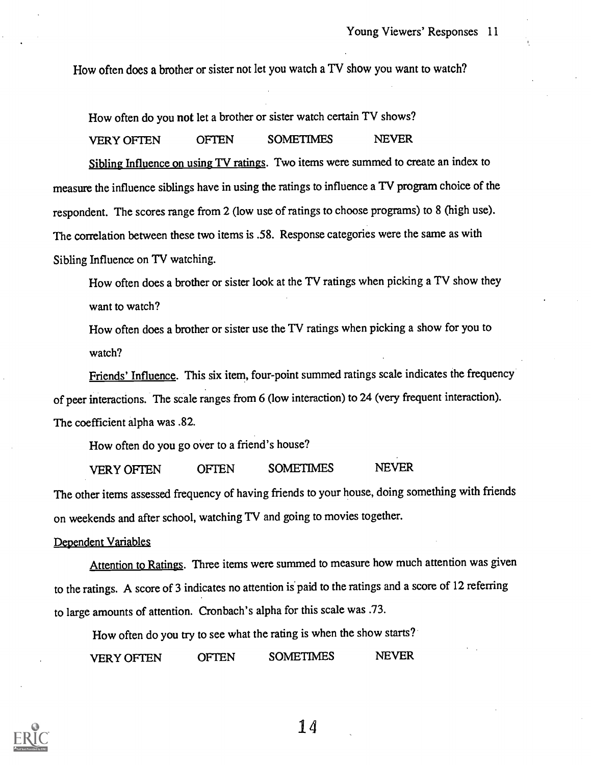How often does a brother or sister not let you watch a TV show you want to watch?

How often do you not let a brother or sister watch certain TV shows?

VERY OFTEN OFTEN SOMETIMES NEVER

Sibling Influence on using TV ratings. Two items were summed to create an index to measure the influence siblings have in using the ratings to influence a TV program choice of the respondent. The scores range from 2 (low use of ratings to choose programs) to 8 (high use). The correlation between these two items is .58. Response categories were the same as with Sibling Influence on TV watching.

How often does a brother or sister look at the TV ratings when picking a TV show they want to watch?

How often does a brother or sister use the TV ratings when picking a show for you to watch?

Friends' Influence. This six item, four-point summed ratings scale indicates the frequency of peer interactions. The scale ranges from 6 (low interaction) to 24 (very frequent interaction). The coefficient alpha was .82.

How often do you go over to a friend's house?

VERY OFTEN OFTEN SOMETIMES NEVER

The other items assessed frequency of having friends to your house, doing something with friends on weekends and after school, watching TV and going to movies together.

### Dependent Variables

Attention to Ratings. Three items were summed to measure how much attention was given to the ratings. A score of 3 indicates no attention is paid to the ratings and a score of 12 referring to large amounts of attention. Cronbach's alpha for this scale was .73.

How often do you try to see what the rating is when the show starts?

VERY OFTEN OFTEN SOMETIMES NEVER

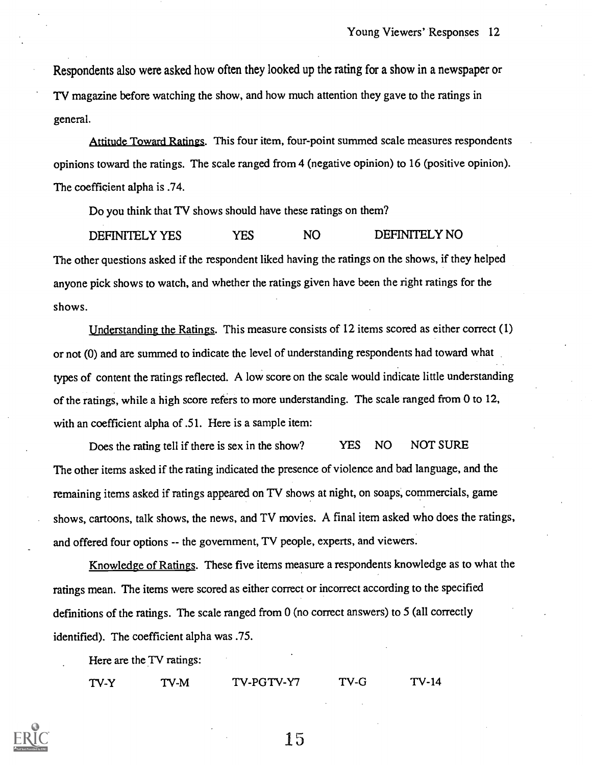Respondents also were asked how often they looked up the rating for a show in a newspaper or TV magazine before watching the show, and how much attention they gave to the ratings in general.

Attitude Toward Ratings. This four item, four-point summed scale measures respondents opinions toward the ratings. The scale ranged from 4 (negative opinion) to 16 (positive opinion). The coefficient alpha is .74.

Do you think that TV shows should have these ratings on them?

DEFINITELY YES YES NO DEFINITELY NO The other questions asked if the respondent liked having the ratings on the shows, if they helped anyone pick shows to watch, and whether the ratings given have been the right ratings for the shows.

Understanding the Ratings. This measure consists of 12 items scored as either correct (1) or not (0) and are summed to indicate the level of understanding respondents had toward what types of content the ratings reflected. A low score on the scale would indicate little understanding of the ratings, while a high score refers to more understanding. The scale ranged from 0 to 12, with an coefficient alpha of .51. Here is a sample item:

Does the rating tell if there is sex in the show? YES NO NOT SURE The other items asked if the rating indicated the presence of violence and bad language, and the remaining items asked if ratings appeared on TV shows at night, on soaps, commercials, game shows, cartoons, talk shows, the news, and TV movies. A final item asked who does the ratings, and offered four options -- the government, TV people, experts, and viewers.

Knowledge of Ratings. These five items measure a respondents knowledge as to what the ratings mean. The items were scored as either correct or incorrect according to the specified definitions of the ratings. The scale ranged from 0 (no correct answers) to 5 (all correctly identified). The coefficient alpha was .75.

Here are the TV ratings:

TV-Y TV-M TV-PGTV-Y7 TV-G TV-14

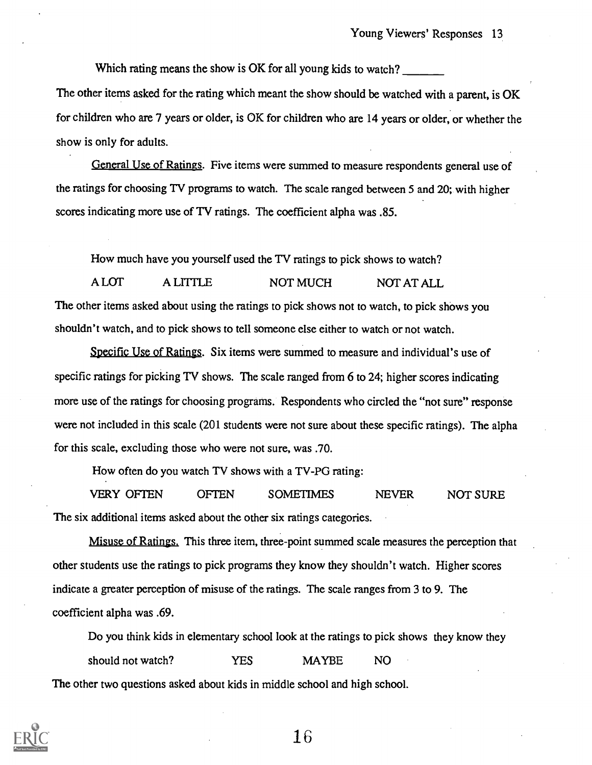Which rating means the show is OK for all young kids to watch? The other items asked for the rating which meant the show should be watched with a parent, is OK for children who are 7 years or older, is OK for children who are 14 years or older, or whether the show is only for adults.

General Use of Ratings. Five items were summed to measure respondents general use of the ratings for choosing TV programs to watch. The scale ranged between 5 and 20; with higher scores indicating more use of TV ratings. The coefficient alpha was .85.

How much have you yourself used the TV ratings to pick shows to watch?

A LOT A LITTLE NOT MUCH NOT AT ALL The other items asked about using the ratings to pick shows not to watch, to pick shows you shouldn't watch, and to pick shows to tell someone else either to watch or not watch.

Specific Use of Ratings. Six items were summed to measure and individual's use of specific ratings for picking TV shows. The scale ranged from 6 to 24; higher scores indicating more use of the ratings for choosing programs. Respondents who circled the "not sure" response were not included in this scale (201 students were not sure about these specific ratings). The alpha for this scale, excluding those who were not sure, was .70.

How often do you watch TV shows with a TV-PG rating:

VERY OFTEN OFTEN SOMETIMES NEVER NOT SURE The six additional items asked about the other six ratings categories.

Misuse of Ratings. This three item, three-point summed scale measures the perception that other students use the ratings to pick programs they know they shouldn't watch. Higher scores indicate a greater perception of misuse of the ratings. The scale ranges from 3 to 9. The coefficient alpha was .69.

Do you think kids in elementary school look at the ratings to pick shows they know they should not watch? THES MAYBE NO The other two questions asked about kids in middle school and high school.

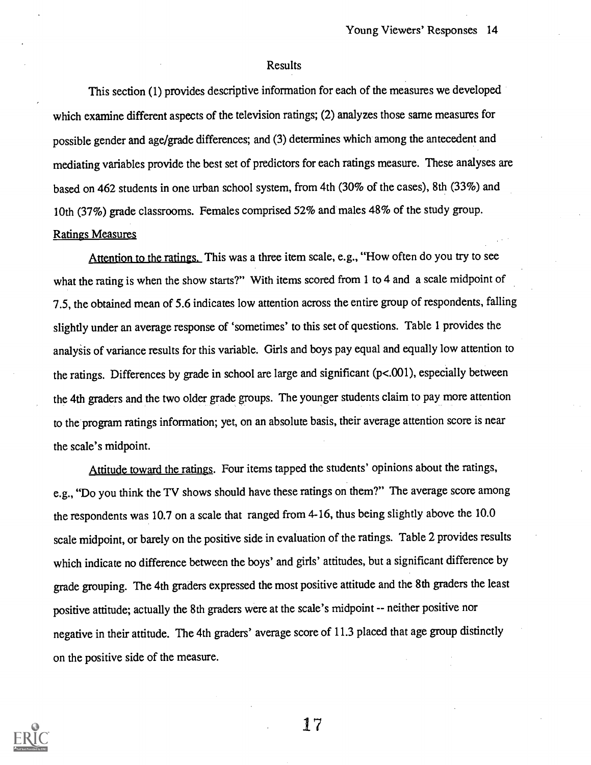#### Results

This section (1) provides descriptive information for each of the measures we developed which examine different aspects of the television ratings; (2) analyzes those same measures for possible gender and age/grade differences; and (3) determines which among the antecedent and mediating variables provide the best set of predictors for each ratings measure. These analyses are based on 462 students in one urban school system, from 4th (30% of the cases), 8th (33%) and 10th (37%) grade classrooms. Females comprised 52% and males 48% of the study group. Ratings Measures

Attention to the ratings. This was a three item scale, e.g., "How often do you try to see what the rating is when the show starts?" With items scored from 1 to 4 and a scale midpoint of 7.5, the obtained mean of 5.6 indicates low attention across the entire group of respondents, falling slightly under an average response of 'sometimes' to this set of questions. Table 1 provides the analysis of variance results for this variable. Girls and boys pay equal and equally low attention to the ratings. Differences by grade in school are large and significant (p<.001), especially between the 4th graders and the two older grade groups. The younger students claim to pay more attention to the program ratings information; yet, on an absolute basis, their average attention score is near the scale's midpoint.

Attitude toward the ratings. Four items tapped the students' opinions about the ratings, e.g., "Do you think the TV shows should have these ratings on them?" The average score among the respondents was 10.7 on a scale that ranged from 4-16, thus being slightly above the 10.0 scale midpoint, or barely on the positive side in evaluation of the ratings. Table 2 provides results which indicate no difference between the boys' and girls' attitudes, but a significant difference by grade grouping. The 4th graders expressed the most positive attitude and the 8th graders the least positive attitude; actually the 8th graders were at the scale's midpoint -- neither positive nor negative in their attitude. The 4th graders' average score of 11.3 placed that age group distinctly on the positive side of the measure.

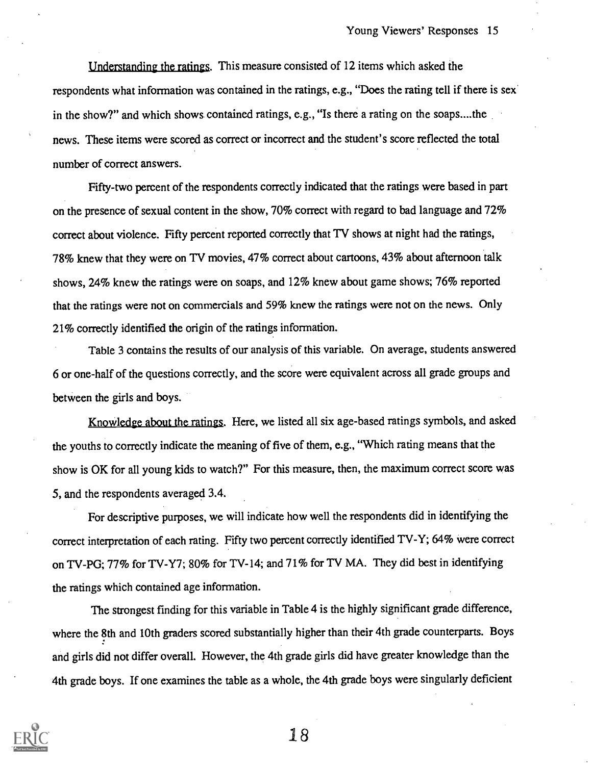Understanding the ratings. This measure consisted of 12 items which asked the respondents what information was contained in the ratings, e.g., "Does the rating tell if there is sex in the show?" and which shows contained ratings, e.g., "Is there a rating on the soaps....the news. These items were scored as correct or incorrect and the student's score reflected the total number of correct answers.

Fifty-two percent of the respondents correctly indicated that the ratings were based in part on the presence of sexual content in the show, 70% correct with regard to bad language and 72% correct about violence. Fifty percent reported correctly that TV shows at night had the ratings, 78% knew that they were on TV movies, 47% correct about cartoons, 43% about afternoon talk shows, 24% knew the ratings were on soaps, and 12% knew about game shows; 76% reported that the ratings were not on commercials and 59% knew the ratings were not on the news. Only 21% correctly identified the origin of the ratings information.

Table 3 contains the results of our analysis of this variable. On average, students answered 6 or one-half of the questions correctly, and the score were equivalent across all grade groups and between the girls and boys.

Knowledge about the ratings. Here, we listed all six age-based ratings symbols, and asked the youths to correctly indicate the meaning of five of them, e.g., "Which rating means that the show is OK for all young kids to watch?" For this measure, then, the maximum correct score was 5, and the respondents averaged 3.4.

For descriptive purposes, we will indicate how well the respondents did in identifying the correct interpretation of each rating. Fifty two percent correctly identified TV-Y; 64% were correct on TV-PG; 77% for TV-Y7; 80% for TV-14; and 71% for TV MA. They did best in identifying the ratings which contained age information.

The strongest finding for this variable in Table 4 is the highly significant grade difference, where the 8th and 10th graders scored substantially higher than their 4th grade counterparts. Boys and girls did not differ overall. However, the 4th grade girls did have greater knowledge than the 4th grade boys. If one examines the table as a whole, the 4th grade boys were singularly deficient

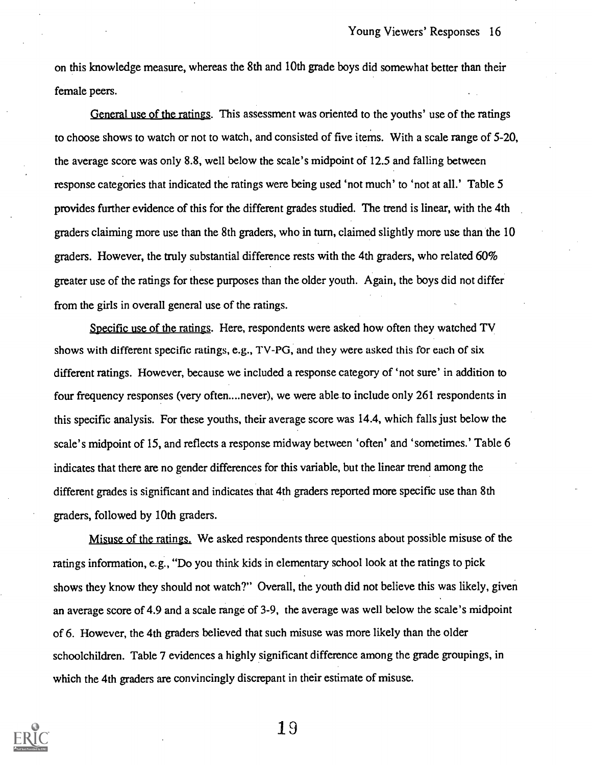on this knowledge measure, whereas the 8th and 10th grade boys did somewhat better than their female peers.

General use of the ratings. This assessment was oriented to the youths' use of the ratings to choose shows to watch or not to watch, and consisted of five items. With a scale range of 5-20, the average score was only 8.8, well below the scale's midpoint of 12.5 and falling between response categories that indicated the ratings were being used 'not much' to 'not at all.' Table 5 provides further evidence of this for the different grades studied. The trend is linear, with the 4th graders claiming more use than the 8th graders, who in turn, claimed slightly more use than the 10 graders. However, the truly substantial difference rests with the 4th graders, who related 60% greater use of the ratings for these purposes than the older youth. Again, the boys did not differ from the girls in overall general use of the ratings.

Specific use of the ratings. Here, respondents were asked how often they watched TV shows with different specific ratings, e.g., TV-PG, and they were asked this for each of six different ratings. However, because we included a response category of 'not sure' in addition to four frequency responses (very often....never), we were able to include only 261 respondents in this specific analysis. For these youths, their average score was 14.4, which falls just below the scale's midpoint of 15, and reflects a response midway between 'often' and 'sometimes.' Table 6 indicates that there are no gender differences for this variable, but the linear trend among the different grades is significant and indicates that 4th graders reported more specific use than 8th graders, followed by 10th graders.

Misuse of the ratings. We asked respondents three questions about possible misuse of the ratings information, e.g., "Do you think kids in elementary school look at the ratings to pick shows they know they should not watch?" Overall, the youth did not believe this was likely, given an average score of 4.9 and a scale range of 3-9, the average was well below the scale's midpoint of 6. However, the 4th graders believed that such misuse was more likely than the older schoolchildren. Table 7 evidences a highly significant difference among the grade groupings, in which the 4th graders are convincingly discrepant in their estimate of misuse.

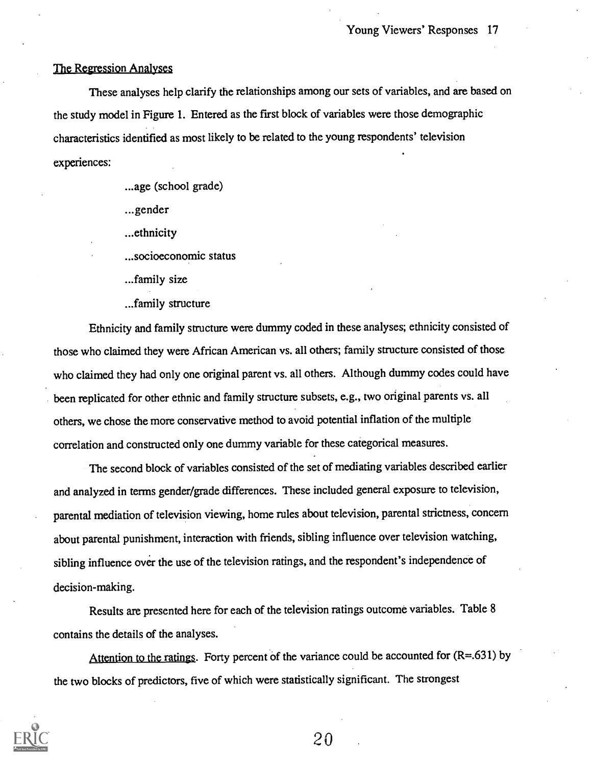### The Regression Analyses

These analyses help clarify the relationships among our sets of variables, and are based on the study model in Figure 1. Entered as the first block of variables were those demographic characteristics identified as most likely to be related to the young respondents' television experiences:

...age (school grade)

...gender

...ethnicity

...socioeconomic status

..family size

...family structure

Ethnicity and family structure were dummy coded in these analyses; ethnicity consisted of those who claimed they were African American vs. all others; family structure consisted of those who claimed they had only one original parent vs. all others. Although dummy codes could have been replicated for other ethnic and family structure subsets, e.g., two original parents vs. all others, we chose the more conservative method to avoid potential inflation of the multiple correlation and constructed only one dummy variable for these categorical measures.

The second block of variables consisted of the set of mediating variables described earlier and analyzed in terms gender/grade differences. These included general exposure to television, parental mediation of television viewing, home rules about television, parental strictness, concern about parental punishment, interaction with friends, sibling influence over television watching, sibling influence over the use of the television ratings, and the respondent's independence of decision-making.

Results are presented here for each of the television ratings outcome variables. Table 8 contains the details of the analyses.

Attention to the ratings. Forty percent of the variance could be accounted for  $(R=.631)$  by the two blocks of predictors, five of which were statistically significant. The strongest

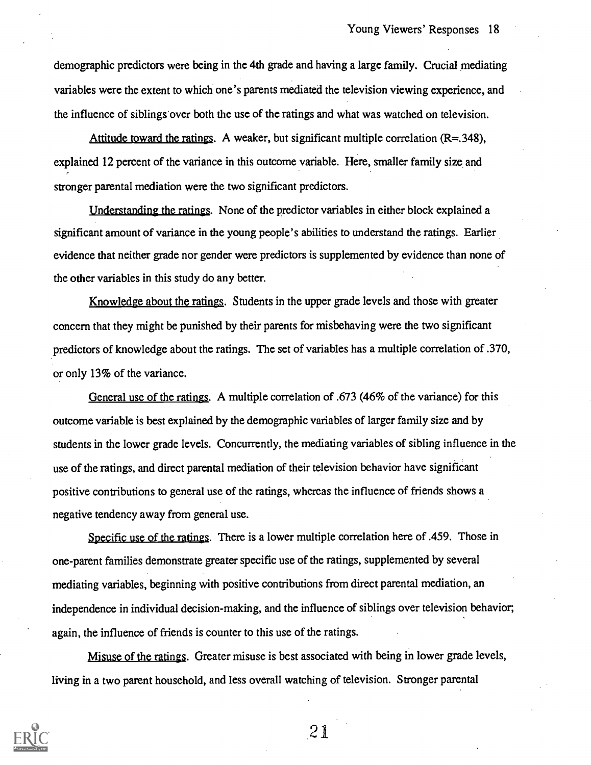demographic predictors were being in the 4th grade and having a large family. Crucial mediating variables were the extent to which one's parents mediated the television viewing experience, and the influence of siblings over both the use of the ratings and what was watched on television.

Attitude toward the ratings. A weaker, but significant multiple correlation  $(R=.348)$ , explained 12 percent of the variance in this outcome variable. Here, smaller family size and stronger parental mediation were the two significant predictors.

Understanding the ratings. None of the predictor variables in either block explained a significant amount of variance in the young people's abilities to understand the ratings. Earlier evidence that neither grade nor gender were predictors is supplemented by evidence than none of the other variables in this study do any better.

Knowledge about the ratings. Students in the upper grade levels and those with greater concern that they might be punished by their parents for misbehaving were the two significant predictors of knowledge about the ratings. The set of variables has a multiple correlation of .370, or only 13% of the variance.

General use of the ratings. A multiple correlation of .673 (46% of the variance) for this outcome variable is best explained by the demographic variables of larger family size and by students in the lower grade levels. Concurrently, the mediating variables of sibling influence in the use of the ratings, and direct parental mediation of their television behavior have significant positive contributions to general use of the ratings, whereas the influence of friends shows a negative tendency away from general use.

Specific use of the ratings. There is a lower multiple correlation here of .459. Those in one-parent families demonstrate greater specific use of the ratings, supplemented by several mediating variables, beginning with positive contributions from direct parental mediation, an independence in individual decision-making, and the influence of siblings over television behavior, again, the influence of friends is counter to this use of the ratings.

Misuse of the ratings. Greater misuse is best associated with being in lower grade levels, living in a two parent household, and less overall watching of television. Stronger parental

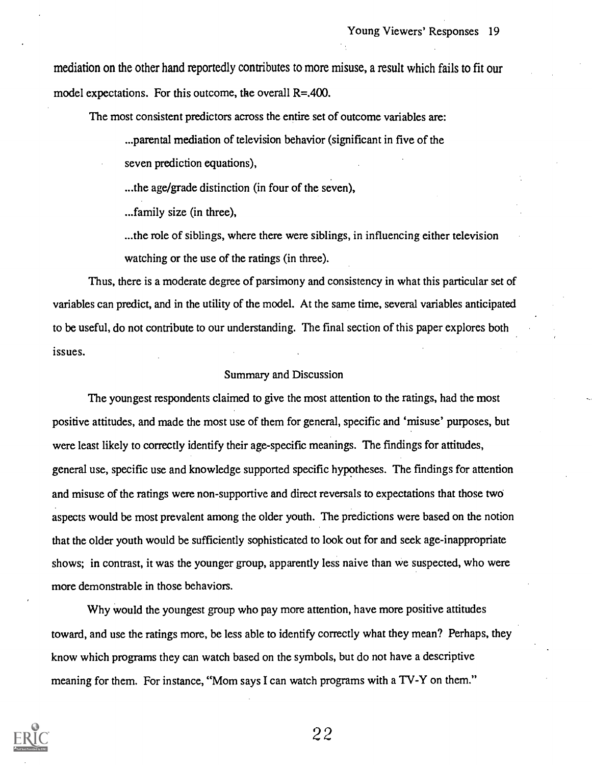mediation on the other hand reportedly contributes to more misuse, a result which fails to fit our model expectations. For this outcome, the overall R=.400.

The most consistent predictors across the entire set of outcome variables are:

...parental mediation of television behavior (significant in five of the

seven prediction equations),

...the age/grade distinction (in four of the seven),

...family size (in three),

...the role of siblings, where there were siblings, in influencing either television watching or the use of the ratings (in three).

Thus, there is a moderate degree of parsimony and consistency in what this particular set of variables can predict, and in the utility of the model. At the same time, several variables anticipated to be useful, do not contribute to our understanding. The final section of this paper explores both issues.

#### Summary and Discussion

The youngest respondents claimed to give the most attention to the ratings, had the most positive attitudes, and made the most use of them for general, specific and 'misuse' purposes, but were least likely to correctly identify their age-specific meanings. The findings for attitudes, general use, specific use and knowledge supported specific hypotheses. The findings for attention and misuse of the ratings were non-supportive and direct reversals to expectations that those two aspects would be most prevalent among the older youth. The predictions were based on the notion that the older youth would be sufficiently sophisticated to look out for and seek age-inappropriate shows; in contrast, it was the younger group, apparently less naive than we suspected, who were more demonstrable in those behaviors.

Why would the youngest group who pay more attention, have more positive attitudes toward, and use the ratings more, be less able to identify correctly what they mean? Perhaps, they know which programs they can watch based on the symbols, but do not have a descriptive meaning for them. For instance, "Mom says I can watch programs with a TV-Y on them."

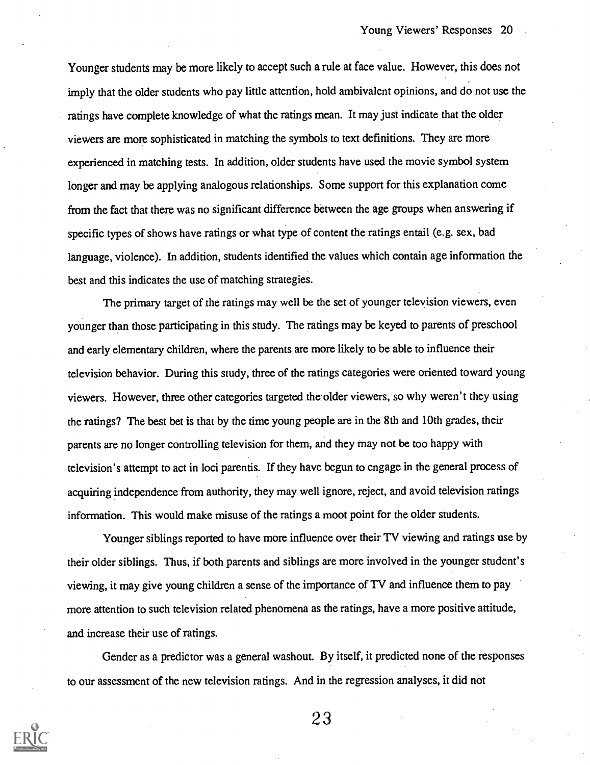Younger students may be more likely to accept such a rule at face value. However, this does not imply that the older students who pay little attention, hold ambivalent opinions, and do not use the ratings have complete knowledge of what the ratings mean. It may just indicate that the older viewers are more sophisticated in matching the symbols to text definitions. They are more experienced in matching tests. In addition, older students have used the movie symbol system longer and may be applying analogous relationships. Some support for this explanation come from the fact that there was no significant difference between the age groups when answering if specific types of shows have ratings or what type of content the ratings entail (e.g. sex, bad language, violence). In addition, students identified the values which contain age information the best and this indicates the use of matching strategies.

The primary target of the ratings may well be the set of younger teleyision viewers, even younger than those participating in this study. The ratings may be keyed to parents of preschool and early elementary children, where the parents are more likely to be able to influence their television behavior. During this study, three of the ratings categories were oriented toward young viewers. However, three other categories targeted the older viewers, so why weren't they using the ratings? The best bet is that by the time young people are in the 8th and 10th grades, their parents are no longer controlling television for them, and they may not be too happy with television's attempt to act in loci parentis. If they have begun to engage in the general process of acquiring independence from authority, they may well ignore, reject, and avoid television ratings information. This would make misuse of the ratings a moot point for the older students.

Younger siblings reported to have more influence over their TV viewing and ratings use by their older siblings. Thus, if both parents and siblings are more involved in the younger student's viewing, it may give young children a sense of the importance of TV and influence them to pay more attention to such television related phenomena as the ratings, have a more positive attitude, and increase their use of ratings.

Gender as a predictor was a general washout. By itself, it predicted none of the responses to our assessment of the new television ratings. And in the regression analyses, it did not

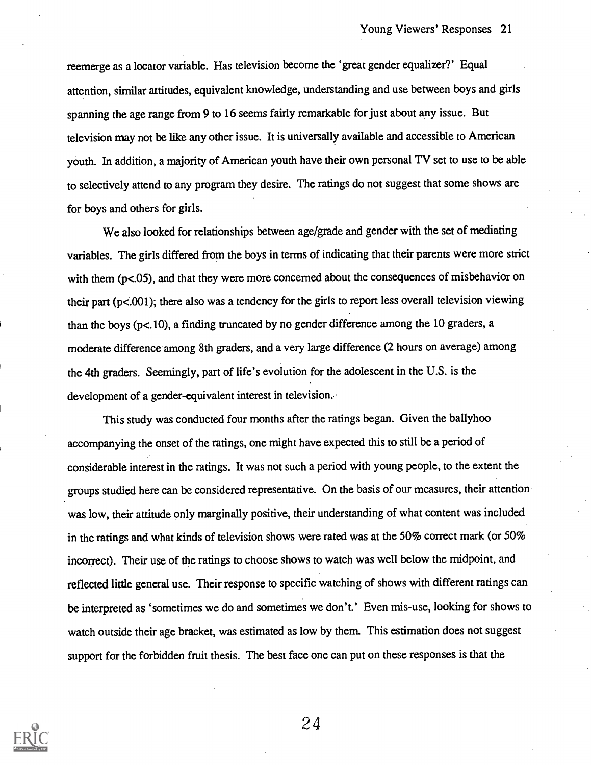reemerge as a locator variable. Has television become the 'great gender equalizer?' Equal attention, similar attitudes, equivalent knowledge, understanding and use between boys and girls spanning the age range from 9 to 16 seems fairly remarkable for just about any issue. But television may not be like any other issue. It is universally available and accessible to American youth. In addition, a majority of American youth have their own personal TV set to use to be able to selectively attend to any program they desire. The ratings do not suggest that some shows are for boys and others for girls.

We also looked for relationships between age/grade and gender with the set of mediating variables. The girls differed from the boys in terms of indicating that their parents were more strict with them (p<.05), and that they were more concerned about the consequences of misbehavior on their part (p<.001); there also was a tendency for the girls to report less overall television viewing than the boys (p<.10), a finding truncated by no gender difference among the 10 graders, a moderate difference among 8th graders, and a very large difference (2 hours on average) among the 4th graders. Seemingly, part of life's evolution for the adolescent in the U.S. is the development of a gender-equivalent interest in television..

This study was conducted four months after the ratings began. Given the ballyhoo accompanying the onset of the ratings, one might have expected this to still be a period of considerable interest in the ratings. It was not such a period with young people, to the extent the groups studied here can be considered representative. On the basis of our measures, their attention was low, their attitude only marginally positive, their understanding of what content was included in the ratings and what kinds of television shows were rated was at the 50% correct mark (or 50% incorrect). Their use of the ratings to choose shows to watch was well below the midpoint, and reflected little general use. Their response to specific watching of shows with different ratings can be interpreted as 'sometimes we do and sometimes we don't.' Even mis-use, looking for shows to watch outside their age bracket, was estimated as low by them. This estimation does not suggest support for the forbidden fruit thesis. The best face one can put on these responses is that the

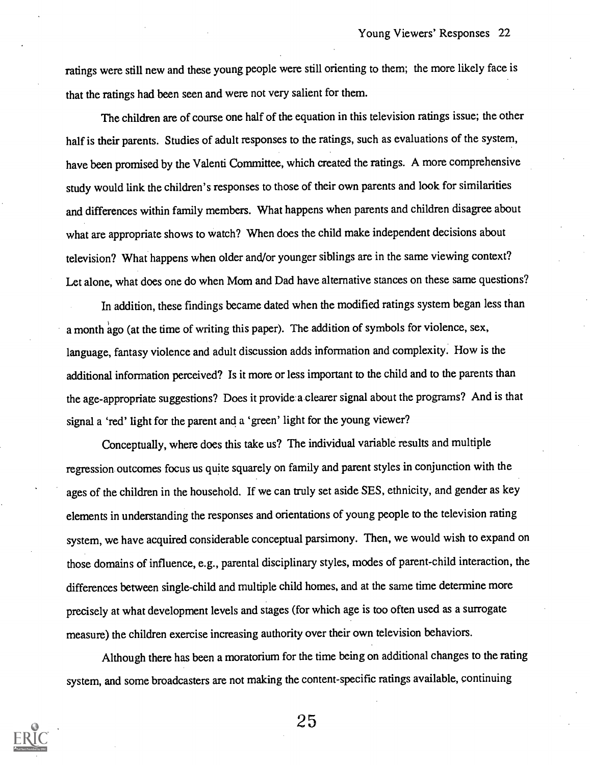ratings were still new and these young people were still orienting to them; the more likely face is that the ratings had been seen and were not very salient for them.

The children are of course one half of the equation in this television ratings issue; the other half is their parents. Studies of adult responses to the ratings, such as evaluations of the system, have been promised by the Valenti Committee, which created the ratings. A more comprehensive study would link the children's responses to those of their own parents and look for similarities and differences within family members. What happens when parents and children disagree about what are appropriate shows to watch? When does the child make independent decisions about television? What happens when older and/or younger siblings are in the same viewing context? Let alone, what does one do when Mom and Dad have alternative stances on these same questions?

In addition, these findings became dated when the modified ratings system began less than a month 'ago (at the time of writing this paper). The addition of symbols for violence, sex, language, fantasy violence and adult discussion adds information and complexity. How is the additional information perceived? Is it more or less important to the child and to the parents than the age-appropriate suggestions? Does it provide a clearer signal about the programs? And is that signal a 'red' light for the parent and a 'green' light for the young viewer?

Conceptually, where does this take us? The individual variable results and multiple regression outcomes focus us quite squarely on family and parent styles in conjunction with the ages of the children in the household. If we can truly set aside SES, ethnicity, and gender as key elements in understanding the responses and orientations of young people to the television rating system, we have acquired considerable conceptual parsimony. Then, we would wish to expand on those domains of influence, e.g., parental disciplinary styles, modes of parent-child interaction, the differences between single-child and multiple child homes, and at the same time determine more precisely at what development levels and stages (for which age is too often used as a surrogate measure) the children exercise increasing authority over their own television behaviors.

Although there has been a moratorium for the time being on additional changes to the rating system, and some broadcasters are not making the content-specific ratings available, continuing

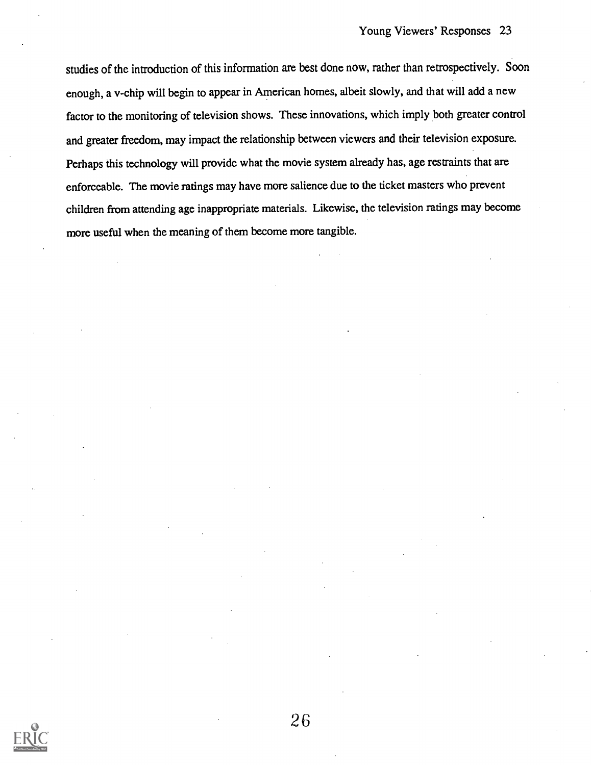studies of the introduction of this information are best done now, rather than retrospectively. Soon enough, a v-chip will begin to appear in American homes, albeit slowly, and that will add a new factor to the monitoring of television shows. These innovations, which imply both greater control and greater freedom, may impact the relationship between viewers and their television exposure. Perhaps this technology will provide what the movie system already has, age restraints that are enforceable. The movie ratings may have more salience due to the ticket masters who prevent children from attending age inappropriate materials. Likewise, the television ratings may become more useful when the meaning of them become more tangible.

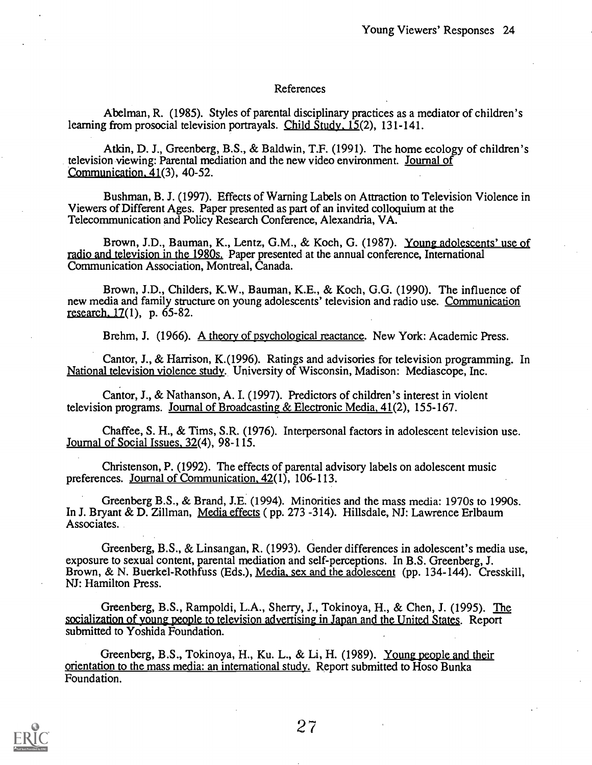#### References

Abelman, R. (1985). Styles of parental disciplinary practices as a mediator of children's learning from prosocial television portrayals. Child  $\overline{\text{Study}}$ , 15(2), 131-141.

Atkin, D. J., Greenberg, B.S., & Baldwin, T.F. (1991). The home ecology of children's television viewing: Parental mediation and the new video environment. Journal of Communication. 41(3), 40-52.

Bushman, B. J. (1997). Effects of Warning Labels on Attraction to Television Violence in Viewers of Different Ages. Paper presented as part of an invited colloquium at the Telecommunication and Policy Research Conference, Alexandria, VA.

Brown, J.D., Bauman, K., Lentz, G.M., & Koch, G. (1987). Young adolescents' use of radio and television in the 1980s. Paper presented at the annual conference, International Communication Association, Montreal, Canada.

Brown, J.D., Childers, K.W., Bauman, K.E., & Koch, G.G. (1990). The influence of new media and family structure on young adolescents' television and radio use. Communication research. 17(1), p. 65-82.

Brehm, J. (1966). A theory of psychological reactance. New York: Academic Press.

Cantor, J., & Harrison, K.(1996). Ratings and advisories for television programming. In National television violence study. University of Wisconsin, Madison: Mediascope, Inc.

Cantor, J., & Nathanson, A. I. (1997). Predictors of children's interest in violent television programs. Journal of Broadcasting & Electronic Media, 41(2), 155-167.

Chaffee, S. H., & Tims, S.R. (1976). Interpersonal factors in adolescent television use. Journal of Social Issues, 32(4), 98-115.

Christenson, P. (1992). The effects of parental advisory labels on adolescent music preferences. Journal of Communication, 42(1), 106-113.

Greenberg B.S., & Brand, J.E. (1994). Minorities and the mass media: 1970s to 1990s. In J. Bryant & D. Zillman, Media effects ( pp. 273 -314). Hillsdale, NJ: Lawrence Erlbaum Associates.

Greenberg, B.S., & Linsangan, R. (1993). Gender differences in adolescent's media use, exposure to sexual content, parental mediation and self-perceptions. In B.S. Greenberg, J. Brown, & N. Buerkel-Rothfuss (Eds.), Media, sex and the adolescent (pp. 134-144). Cresskill, NJ: Hamilton Press.

Greenberg, B.S., Rampoldi, L.A., Sherry, J., Tokinoya, H., & Chen, J. (1995). The socialization of young people to television advertising in Japan and the United States. Report submitted to Yoshida Foundation.

Greenberg, B.S., Tokinoya, H., Ku. L., & Li, H. (1989). Young people and their orientation to the mass media: an international study. Report submitted to Hoso Bunka Foundation.

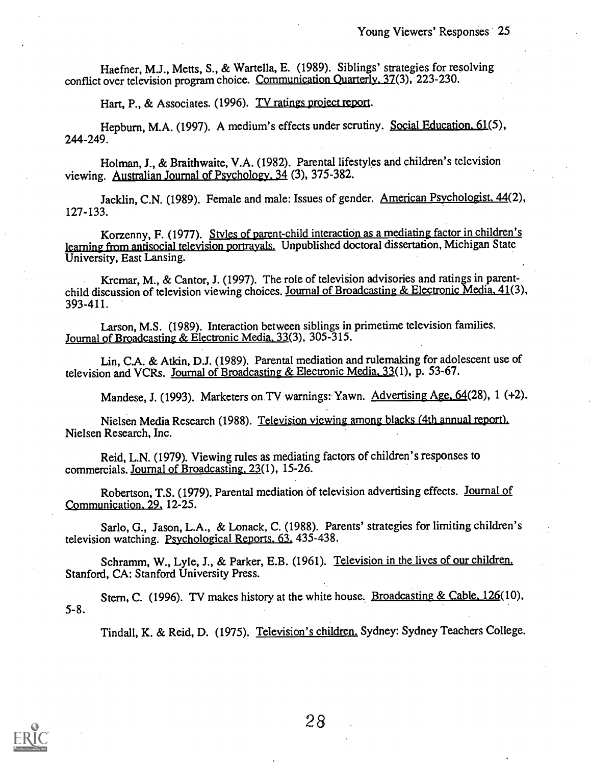Haefner, M.J., Metts, S., & Wartella, E. (1989). Siblings' strategies for resolving conflict over television program choice. Communication Quarterly. 37(3), 223-230.

Hart, P., & Associates. (1996). TV ratings project report.

Hepburn, M.A. (1997). A medium's effects under scrutiny. Social Education. 61(5), 244-249.

Holman, J., & Braithwaite, V.A. (1982). Parental lifestyles and children's television viewing. Australian Journal of Psychology. 34 (3), 375-382.

Jacklin, C.N. (1989). Female and male: Issues of gender. American Psychologist. 44(2), 127-133.

Korzenny, F. (1977). Styles of parent-child interaction as a mediating factor in children's learning from antisocial television portrayals. Unpublished doctoral dissertation, Michigan State University, East Lansing.

Krcmar, M., & Cantor, J. (1997). The role of television advisories and ratings in parentchild discussion of television viewing choices. Journal of Broadcasting & Electronic Media, 41(3), 393-411.

Larson, M.S. (1989). Interaction between siblings in primetime television families. Journal of Broadcasting & Electronic Media. 33(3), 305-315.

Lin, C.A. & Atkin, D.J. (1989). Parental mediation and rulemaking for adolescent use of television and VCRs. Journal of Broadcasting & Electronic Media. 33(1), p. 53-67.

Mandese, J. (1993). Marketers on TV warnings: Yawn. Advertising Age, 64(28), 1 (+2).

Nielsen Media Research (1988). Television viewing among blacks (4th annual report). Nielsen Research, Inc.

Reid, L.N. (1979). Viewing rules as mediating factors of children's responses to commercials. Journal of Broadcasting, 23(1), 15-26.

Robertson, T.S. (1979). Parental mediation of television advertising effects. Journal of Communication. 29, 12-25.

Sarlo, G., Jason, L.A., & Lonack, C. (1988). Parents' strategies for limiting children's television watching. Psychological Reports. 63, 435-438.

Schramm, W., Lyle, J., & Parker, E.B. (1961). Television in the lives of our children. Stanford, CA: Stanford University Press.

5-8. Stern, C. (1996). TV makes history at the white house. Broadcasting & Cable, 126(10),

Tindall, K. & Reid, D. (1975). Television's children. Sydney: Sydney Teachers College.

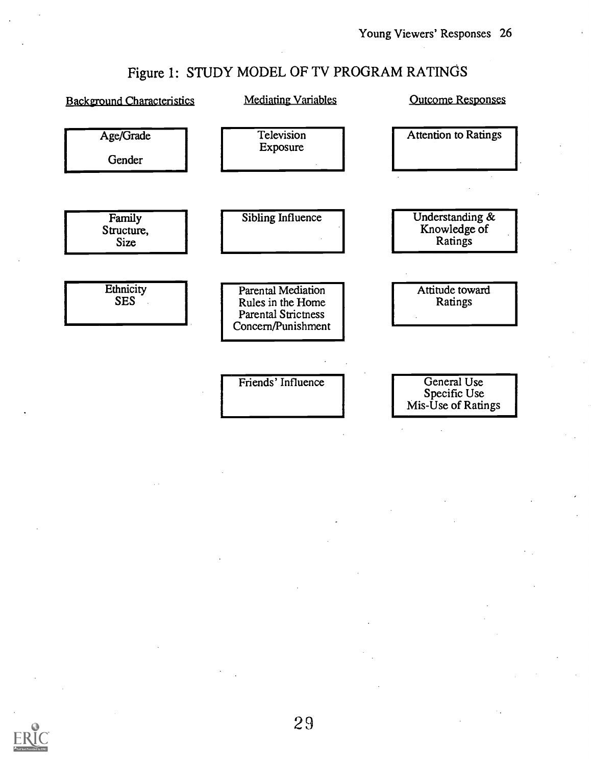# Figure 1: STUDY MODEL OF TV PROGRAM RATINGS

| <b>Background Characteristics</b>   | <b>Mediating Variables</b>                                                                  | <b>Outcome Responses</b>                          |
|-------------------------------------|---------------------------------------------------------------------------------------------|---------------------------------------------------|
| Age/Grade<br>Gender                 | Television<br>Exposure                                                                      | <b>Attention to Ratings</b>                       |
| Family<br>Structure,<br><b>Size</b> | Sibling Influence                                                                           | Understanding &<br>Knowledge of<br>Ratings        |
| Ethnicity<br><b>SES</b>             | Parental Mediation<br>Rules in the Home<br><b>Parental Strictness</b><br>Concern/Punishment | Attitude toward<br>Ratings                        |
|                                     | Friends' Influence                                                                          | General Use<br>Specific Use<br>Mis-Use of Ratings |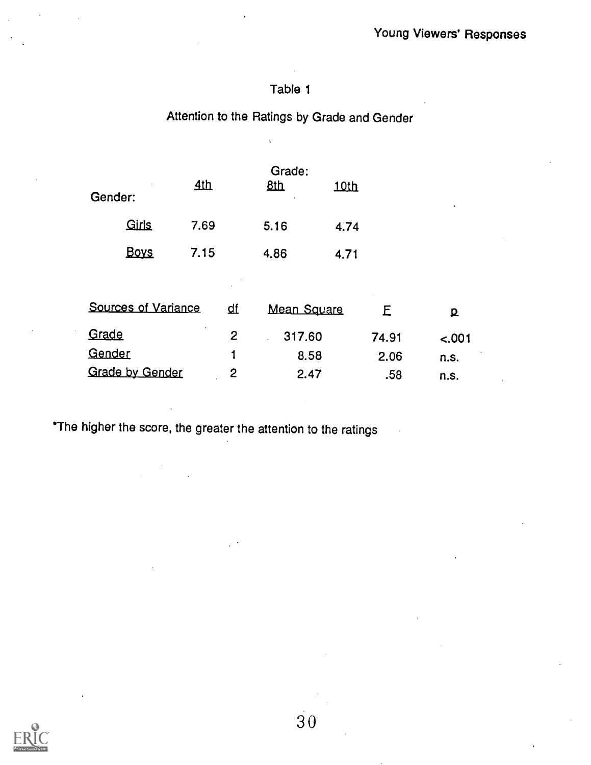## Attention to the Ratings by Grade and Gender

| ٠<br>Gender: | 4th  | Grade:<br>8 <sub>th</sub> | 10th |  |
|--------------|------|---------------------------|------|--|
| Girls        | 7.69 | 5.16                      | 4.74 |  |
| <u>Boys</u>  | 7.15 | 4.86                      | 4.71 |  |
|              |      |                           |      |  |

| <b>Sources of Variance</b> | ₫f | <b>Mean Square</b> |       |         |  |
|----------------------------|----|--------------------|-------|---------|--|
| Grade                      |    | 317.60             | 74.91 | $-.001$ |  |
| Gender                     |    | 8.58               | 2.06  | n.s.    |  |
| <b>Grade by Gender</b>     |    | 2.47               | .58   | n.s.    |  |

\*The higher the score, the greater the attention to the ratings

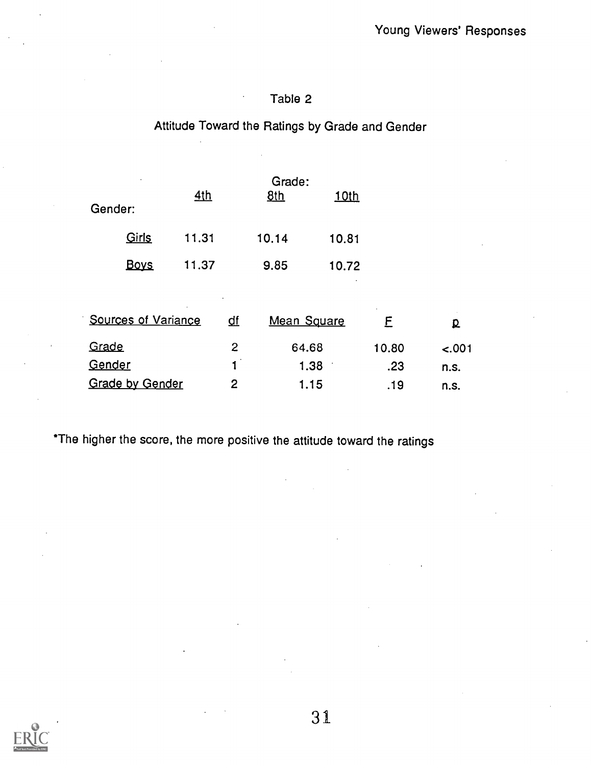# Attitude Toward the Ratings by Grade and Gender

| Gender:                    |  | <u>4th</u> |                | Grade:<br>8th | <u>10th</u> |       |         |  |
|----------------------------|--|------------|----------------|---------------|-------------|-------|---------|--|
| Girls                      |  | 11.31      |                | 10.14         | 10.81       |       |         |  |
| <b>Boys</b>                |  | 11.37      |                | 9.85          | 10.72       |       |         |  |
|                            |  | $\sim$     |                |               |             |       |         |  |
| <b>Sources of Variance</b> |  |            | <u>df</u>      | Mean Square   |             | E     | p       |  |
| Grade                      |  |            | $\overline{2}$ | 64.68         |             | 10.80 | $-.001$ |  |
| Gender                     |  |            | $\mathbf{1}$   | 1.38          |             | .23   | n.s.    |  |
| <b>Grade by Gender</b>     |  |            | 2              | 1.15          |             | .19   | n.s.    |  |

\*The higher the score, the more positive the attitude toward the ratings

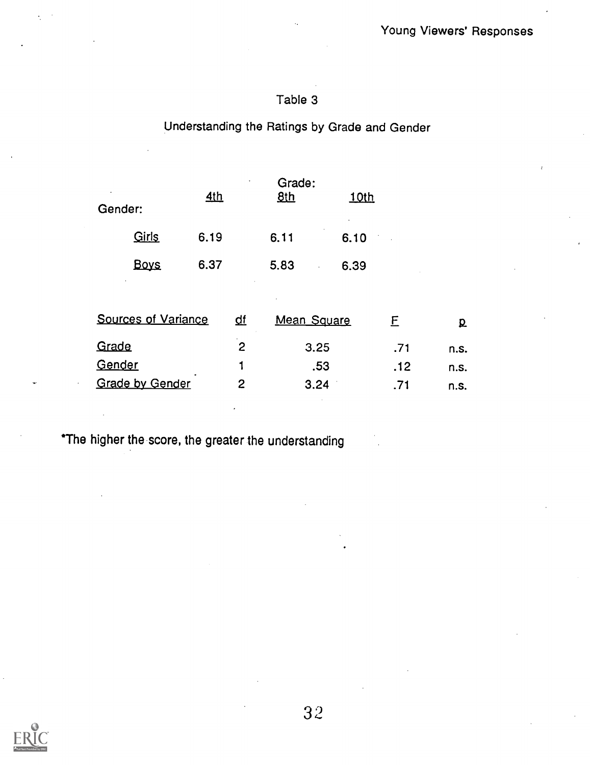## Understanding the Ratings by Grade and Gender

| Gender: |                            | 4th  |    | Grade:<br><b>8th</b> | <u>10th</u> |     |      |  |
|---------|----------------------------|------|----|----------------------|-------------|-----|------|--|
|         | Girls                      | 6.19 |    | 6.11                 | 6.10        |     |      |  |
|         | <b>Boys</b>                | 6.37 |    | 5.83                 | 6.39        |     |      |  |
|         |                            |      |    |                      |             |     |      |  |
|         | <b>Sources of Variance</b> |      | ₫f | <b>Mean Square</b>   |             | E   | ք    |  |
| Grade   |                            |      | 2  | 3.25                 |             | .71 | n.s. |  |
| Gender  |                            |      |    |                      | .53         | .12 | n.s. |  |
|         | <b>Grade by Gender</b>     |      | 2  | 3.24                 |             | .71 | n.s. |  |

\*The higher the score, the greater the understanding

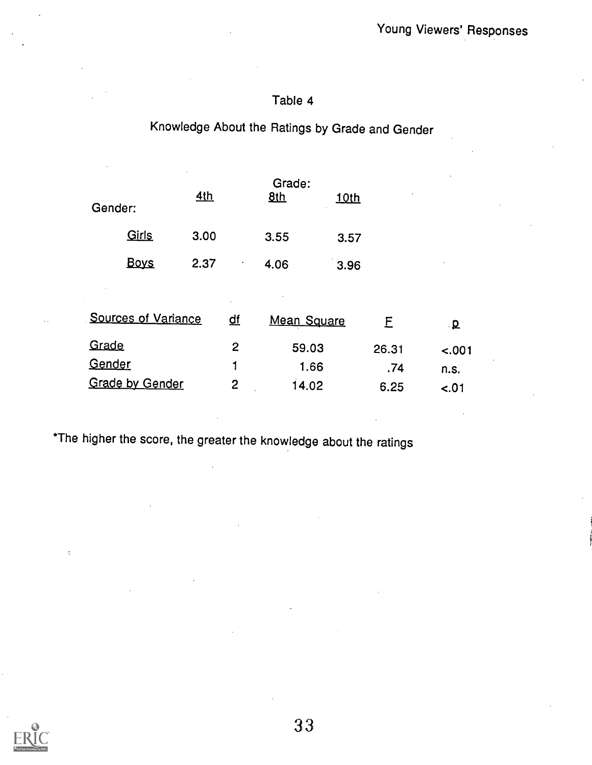# Knowledge About the Ratings by Grade and Gender

| Gender:                    |             | <u>4th</u> |           | Grade:<br>8 <sub>th</sub> | <u>10th</u> |        |              |  |
|----------------------------|-------------|------------|-----------|---------------------------|-------------|--------|--------------|--|
|                            | Girls       | 3.00       |           | 3.55                      | 3.57        |        |              |  |
|                            | <b>Boys</b> | 2.37       | $\bullet$ | 4.06                      | 3.96        |        |              |  |
|                            |             |            |           |                           |             |        |              |  |
| <b>Sources of Variance</b> |             |            | <u>df</u> | <b>Mean Square</b>        |             | E      | $\mathbf{p}$ |  |
| Grade                      |             |            | 2         | 59.03                     |             | 26.31  | $-.001$      |  |
| Gender                     |             |            | 1         | 1.66                      |             | .74    | n.s.         |  |
| <b>Grade by Gender</b>     |             | 2          | 14.02     |                           | 6.25        | $-.01$ |              |  |

\*The higher the score, the greater the knowledge about the ratings

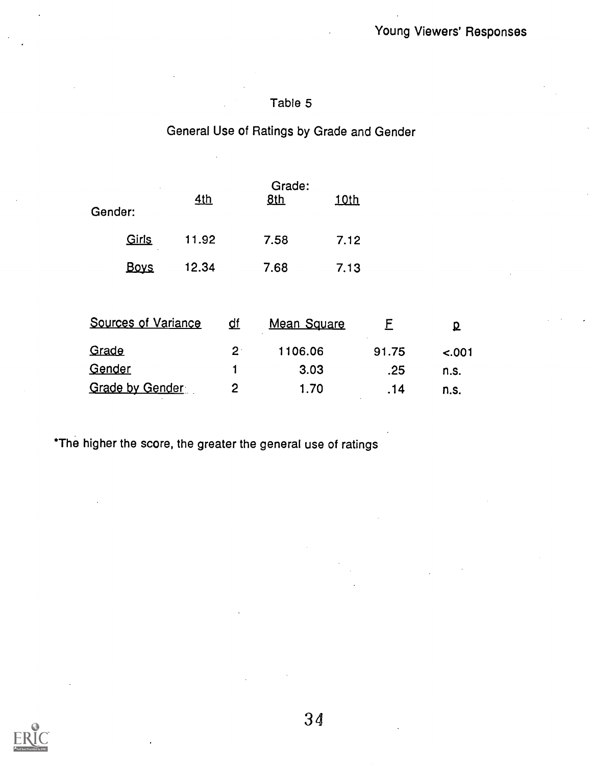# General Use of Ratings by Grade and Gender

| Gender:         |                            | 4th   |             | Grade:<br><u>8th</u> | <u>10th</u> |       |         |  |
|-----------------|----------------------------|-------|-------------|----------------------|-------------|-------|---------|--|
|                 | Girls                      | 11.92 |             | 7.58                 | 7.12        |       |         |  |
|                 | <b>Boys</b>                | 12.34 |             | 7.68                 | 7.13        |       |         |  |
|                 | <b>Sources of Variance</b> |       | <u>df</u>   | <b>Mean Square</b>   |             | F     | Q       |  |
| Grade           |                            |       | $2^{\cdot}$ | 1106.06              |             | 91.75 | $-.001$ |  |
| Gender          |                            |       | 1           | 3.03                 |             | .25   | n.s.    |  |
| Grade by Gender |                            | 2     | 1.70        |                      | .14         | n.s.  |         |  |

\*The higher the score, the greater the general use of ratings

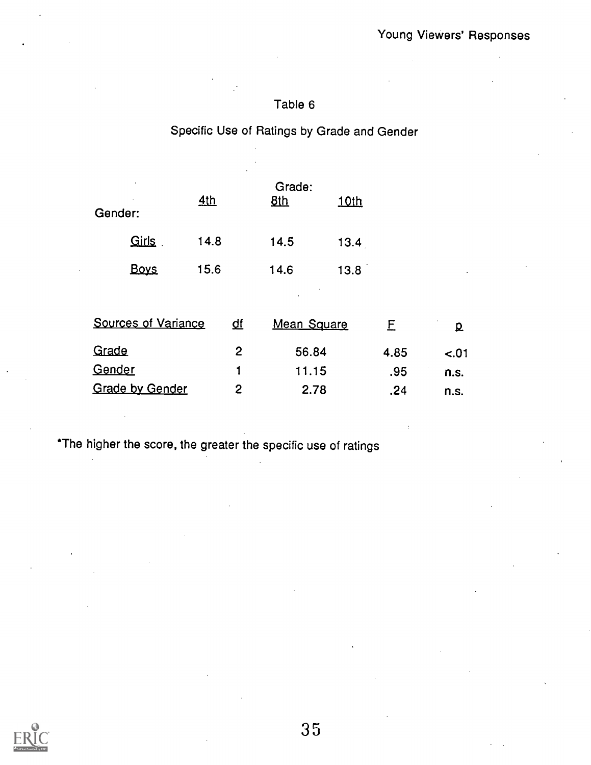## Specific Use of Ratings by Grade and Gender

| Gender:                    | 4th  |    | Grade:<br><u>8th</u> | <u>10th</u> |      |                          |  |
|----------------------------|------|----|----------------------|-------------|------|--------------------------|--|
| Girls                      | 14.8 |    | 14.5                 | 13.4        |      |                          |  |
| <b>Boys</b>                | 15.6 |    | 14.6                 | 13.8        |      | $\overline{\phantom{a}}$ |  |
|                            |      |    |                      |             |      |                          |  |
| <b>Sources of Variance</b> |      | ₫f | <b>Mean Square</b>   |             | E    | p                        |  |
| Grade                      |      | 2  | 56.84                |             | 4.85 | $-.01$                   |  |
| Gender                     |      | 1  | 11.15                |             | .95  | n.s.                     |  |
| <b>Grade by Gender</b>     |      | 2  | 2.78                 |             | .24  | n.s.                     |  |

\*The higher the score, the greater the specific use of ratings

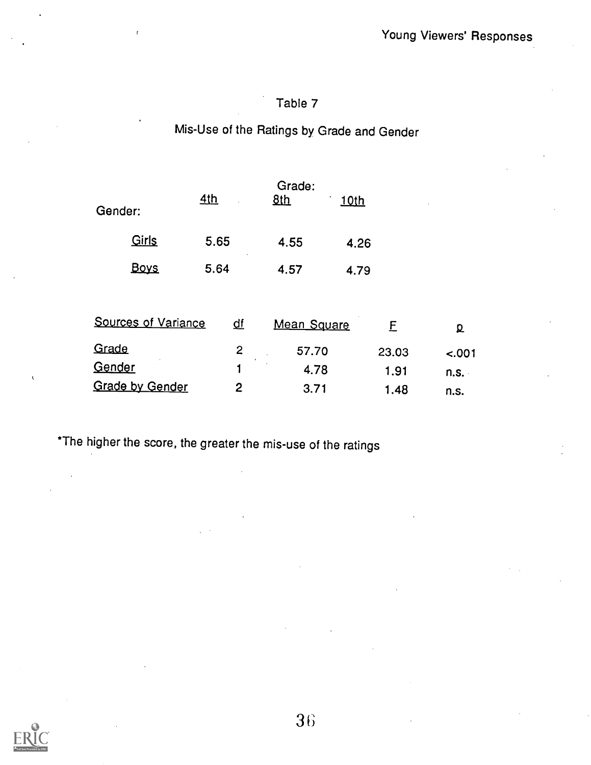# Mis-Use of the Ratings by Grade and Gender

| Gender:                | <u>4th</u> |                | Grade:<br>8 <sub>th</sub> | <u>10th</u> |       |         |  |
|------------------------|------------|----------------|---------------------------|-------------|-------|---------|--|
| Girls                  | 5.65       |                | 4.55                      | 4.26        |       |         |  |
| <b>Boys</b>            | 5.64       |                | 4.57                      | 4.79        |       |         |  |
| Sources of Variance    |            | <u>df</u>      | Mean Square               |             | E     | ք       |  |
| Grade                  |            | 2              | 57.70                     |             | 23.03 | $-.001$ |  |
| Gender                 |            | 1              | 4.78                      |             | 1.91  | n.s.    |  |
| <b>Grade by Gender</b> |            | $\overline{2}$ | 3.71                      |             | 1.48  | n.s.    |  |

\*The higher the score, the greater the mis-use of the ratings

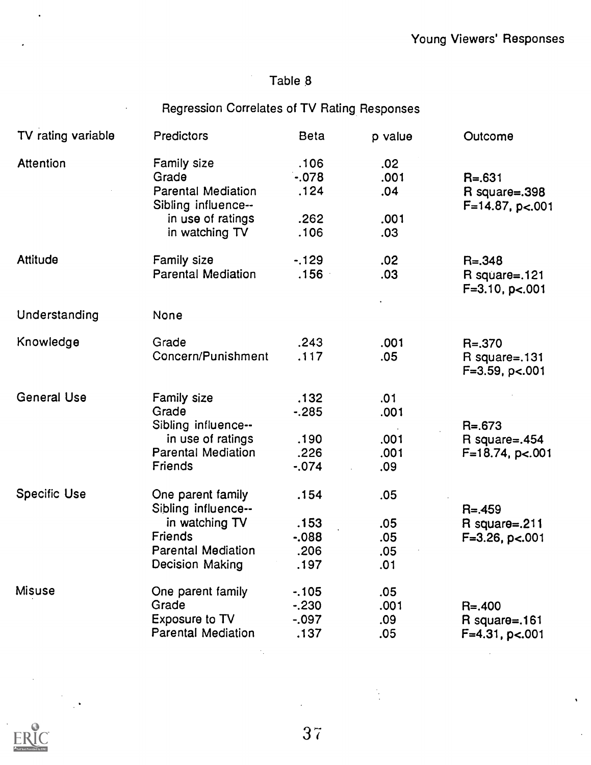## Regression Correlates of TV Rating Responses

| TV rating variable  | Predictors                                               | <b>Beta</b>            | p value            | Outcome                                  |
|---------------------|----------------------------------------------------------|------------------------|--------------------|------------------------------------------|
| <b>Attention</b>    | <b>Family size</b><br>Grade<br><b>Parental Mediation</b> | .106<br>$-078$<br>.124 | .02<br>.001<br>.04 | $R = 631$<br>$R$ square= $.398$          |
|                     | Sibling influence--                                      |                        |                    | $F=14.87$ , p<.001                       |
|                     | in use of ratings<br>in watching TV                      | .262<br>.106           | .001<br>.03        |                                          |
| Attitude            | Family size                                              | $-129$                 | .02                | $R = 0.348$                              |
|                     | <b>Parental Mediation</b>                                | .156                   | .03                | R square=.121<br>$F = 3.10$ , p<.001     |
| Understanding       | None                                                     |                        |                    |                                          |
|                     |                                                          |                        |                    |                                          |
| Knowledge           | Grade                                                    | .243                   | .001               | $R = 370$                                |
|                     | Concern/Punishment                                       | .117                   | .05                | $R$ square=.131<br>$F=3.59$ , p $< .001$ |
| <b>General Use</b>  | Family size                                              | .132                   | .01                |                                          |
|                     | Grade                                                    | $-285$                 | .001               |                                          |
|                     | Sibling influence--                                      |                        |                    | $R = 673$                                |
|                     | in use of ratings                                        | .190                   | .001               | R square= $.454$                         |
|                     | Parental Mediation                                       | .226                   | .001               | $F=18.74$ , p<.001                       |
|                     | Friends                                                  | $-0.74$                | .09                |                                          |
| <b>Specific Use</b> | One parent family                                        | .154                   | .05                |                                          |
|                     | Sibling influence--                                      |                        |                    | $R = 459$                                |
|                     | in watching TV                                           | .153                   | .05                | R square= $.211$                         |
|                     | Friends                                                  | $-0.088$               | .05                | $F=3.26$ , $p<.001$                      |
|                     | <b>Parental Mediation</b>                                | .206                   | .05                |                                          |
|                     | Decision Making                                          | .197                   | .01                |                                          |
| <b>Misuse</b>       | One parent family                                        | $-105$                 | .05                |                                          |
|                     | Grade                                                    | $-230$                 | .001               | $R = 0.400$                              |
|                     | Exposure to TV                                           | $-.097$                | .09                | $R$ square=.161                          |
|                     | <b>Parental Mediation</b>                                | .137                   | .05                | $F=4.31$ , p<.001                        |
|                     |                                                          |                        |                    |                                          |



 $\ddot{\phantom{1}}$ 

3 7

 $\ddot{\phantom{0}}$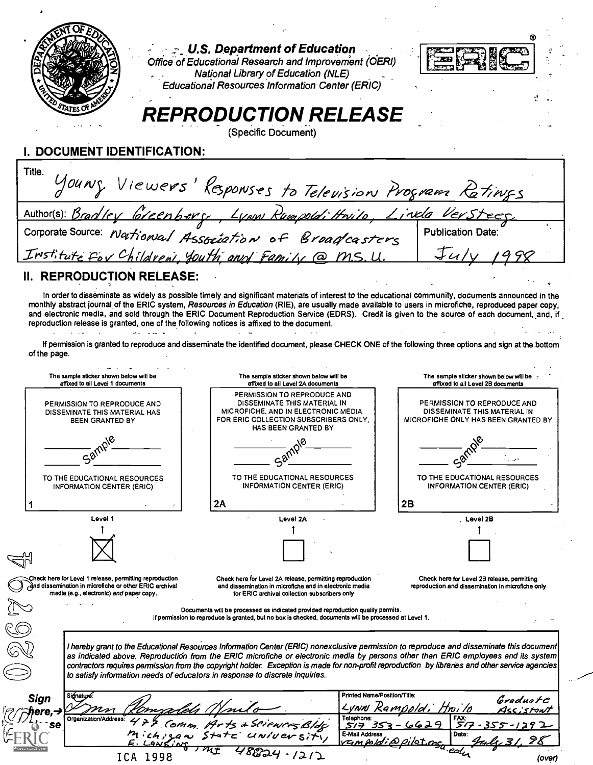| II. REPRODUCTION RELEASE:                                                                          | Young Viewers' Responses to Television Program Ratings<br><u>Author(s): Bradley Greenberg, Lynn Rumpold; Hnilo, Linda Versteeg</u><br>Corporate Source: National Association of Broadcasters<br>Institute for Childreni, Youth and Family @ M.S. U.<br>In order to disseminate as widely as possible timely and significant materials of interest to the educational community, documents announced in the<br>monthly abstract journal of the ERIC system, Resources in Education (RIE), are usually made available to users in microfiche, reproduced paper copy, | <b>Publication Date:</b>                                                                           |
|----------------------------------------------------------------------------------------------------|--------------------------------------------------------------------------------------------------------------------------------------------------------------------------------------------------------------------------------------------------------------------------------------------------------------------------------------------------------------------------------------------------------------------------------------------------------------------------------------------------------------------------------------------------------------------|----------------------------------------------------------------------------------------------------|
|                                                                                                    |                                                                                                                                                                                                                                                                                                                                                                                                                                                                                                                                                                    |                                                                                                    |
|                                                                                                    |                                                                                                                                                                                                                                                                                                                                                                                                                                                                                                                                                                    |                                                                                                    |
|                                                                                                    |                                                                                                                                                                                                                                                                                                                                                                                                                                                                                                                                                                    |                                                                                                    |
|                                                                                                    |                                                                                                                                                                                                                                                                                                                                                                                                                                                                                                                                                                    |                                                                                                    |
|                                                                                                    |                                                                                                                                                                                                                                                                                                                                                                                                                                                                                                                                                                    |                                                                                                    |
| of the page.                                                                                       | and electronic media, and sold through the ERIC Document Reproduction Service (EDRS). Credit is given to the source of each document, and, if<br>reproduction release is granted, one of the following notices is affixed to the document.<br>If permission is granted to reproduce and disseminate the identified document, please CHECK ONE of the following three options and sign at the bottom                                                                                                                                                                |                                                                                                    |
| The sample sticker shown below will be<br>affixed to all Level 1 documents                         | The sample sticker shown below will be<br>affixed to all Level 2A documents                                                                                                                                                                                                                                                                                                                                                                                                                                                                                        | The sample sticker shown below will be<br>affixed to all Level 2B documents                        |
| PERMISSION TO REPRODUCE AND<br>DISSEMINATE THIS MATERIAL HAS<br>BEEN GRANTED BY                    | PERMISSION TO REPRODUCE AND<br>DISSEMINATE THIS MATERIAL IN<br>MICROFICHE, AND IN ELECTRONIC MEDIA<br>FOR ERIC COLLECTION SUBSCRIBERS ONLY.<br>HAS BEEN GRANTED BY                                                                                                                                                                                                                                                                                                                                                                                                 | PERMISSION TO REPRODUCE AND<br>DISSEMINATE THIS MATERIAL IN<br>MICROFICHE ONLY HAS BEEN GRANTED BY |
|                                                                                                    |                                                                                                                                                                                                                                                                                                                                                                                                                                                                                                                                                                    |                                                                                                    |
|                                                                                                    |                                                                                                                                                                                                                                                                                                                                                                                                                                                                                                                                                                    |                                                                                                    |
| TO THE EDUCATIONAL RESOURCES<br><b>INFORMATION CENTER (ERIC)</b>                                   | TO THE EDUCATIONAL RESOURCES<br><b>INFORMATION CENTER (ERIC)</b>                                                                                                                                                                                                                                                                                                                                                                                                                                                                                                   | TO THE EDUCATIONAL RESOURCES<br><b>INFORMATION CENTER (ERIC)</b>                                   |
|                                                                                                    | 2A                                                                                                                                                                                                                                                                                                                                                                                                                                                                                                                                                                 | 2B                                                                                                 |
| Level 1                                                                                            | Level 2A                                                                                                                                                                                                                                                                                                                                                                                                                                                                                                                                                           | Level 2B                                                                                           |
|                                                                                                    |                                                                                                                                                                                                                                                                                                                                                                                                                                                                                                                                                                    |                                                                                                    |
| heck here for Level 1 release, permitting reproduction:                                            | Check here for Level 2A release, permitting reproduction                                                                                                                                                                                                                                                                                                                                                                                                                                                                                                           | Check here for Level 2B release, permitting                                                        |
| and dissemination in microfiche or other ERIC archival<br>media (e.g., electronic) and paper copy. | and dissemination in microfiche and in electronic media<br>for ERIC archival collection subscribers only                                                                                                                                                                                                                                                                                                                                                                                                                                                           | reproduction and dissemination in microfiche only                                                  |
|                                                                                                    | Documents will be processed as indicated provided reproduction quality permits.<br>If permission to reproduce is granted, but no box is checked, documents will be processed at Level 1.                                                                                                                                                                                                                                                                                                                                                                           |                                                                                                    |
|                                                                                                    |                                                                                                                                                                                                                                                                                                                                                                                                                                                                                                                                                                    |                                                                                                    |
|                                                                                                    |                                                                                                                                                                                                                                                                                                                                                                                                                                                                                                                                                                    |                                                                                                    |
|                                                                                                    | I hereby grant to the Educational Resources Information Center (ERIC) nonexclusive permission to reproduce and disseminate this document<br>as indicated above. Reproduction from the ERIC microfiche or electronic media by persons other than ERIC employees and its system<br>contractors requires permission from the copyright holder. Exception is made for non-profit reproduction by libraries and other service agencies<br>to satisfy information needs of educators in response to discrete inquiries.                                                  |                                                                                                    |
| Signature                                                                                          |                                                                                                                                                                                                                                                                                                                                                                                                                                                                                                                                                                    | Printed Name/Position/Title:<br>Gradua <i>t</i> C                                                  |
| Sign<br>Organization/Address:                                                                      | Telephone:                                                                                                                                                                                                                                                                                                                                                                                                                                                                                                                                                         | Lunn Rampold,<br>4ss;stont<br>FAX:                                                                 |
| Michizan Sta                                                                                       | 'CWCFS Bldg<br>577<br>E-Mail Address                                                                                                                                                                                                                                                                                                                                                                                                                                                                                                                               | 5/7<br>-1292<br>Date:                                                                              |